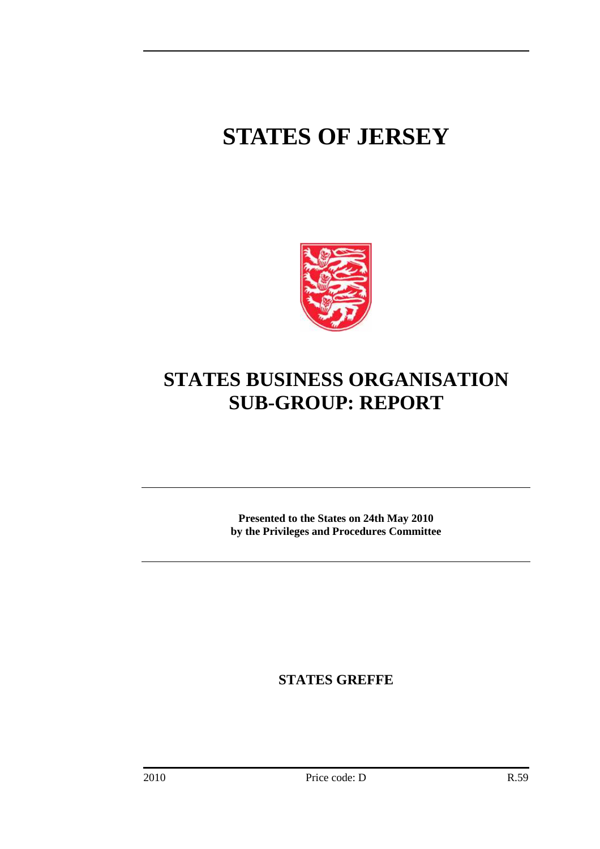# **STATES OF JERSEY**



# **STATES BUSINESS ORGANISATION SUB-GROUP: REPORT**

**Presented to the States on 24th May 2010 by the Privileges and Procedures Committee** 

**STATES GREFFE**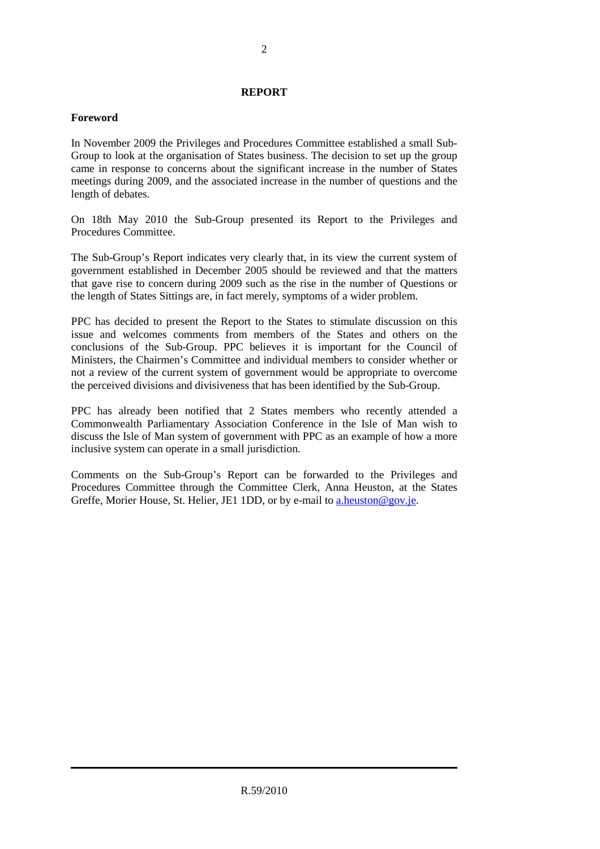# **REPORT**

# **Foreword**

In November 2009 the Privileges and Procedures Committee established a small Sub-Group to look at the organisation of States business. The decision to set up the group came in response to concerns about the significant increase in the number of States meetings during 2009, and the associated increase in the number of questions and the length of debates.

On 18th May 2010 the Sub-Group presented its Report to the Privileges and Procedures Committee.

The Sub-Group's Report indicates very clearly that, in its view the current system of government established in December 2005 should be reviewed and that the matters that gave rise to concern during 2009 such as the rise in the number of Questions or the length of States Sittings are, in fact merely, symptoms of a wider problem.

PPC has decided to present the Report to the States to stimulate discussion on this issue and welcomes comments from members of the States and others on the conclusions of the Sub-Group. PPC believes it is important for the Council of Ministers, the Chairmen's Committee and individual members to consider whether or not a review of the current system of government would be appropriate to overcome the perceived divisions and divisiveness that has been identified by the Sub-Group.

PPC has already been notified that 2 States members who recently attended a Commonwealth Parliamentary Association Conference in the Isle of Man wish to discuss the Isle of Man system of government with PPC as an example of how a more inclusive system can operate in a small jurisdiction.

Comments on the Sub-Group's Report can be forwarded to the Privileges and Procedures Committee through the Committee Clerk, Anna Heuston, at the States Greffe, Morier House, St. Helier, JE1 1DD, or by e-mail to a heuston@gov.je.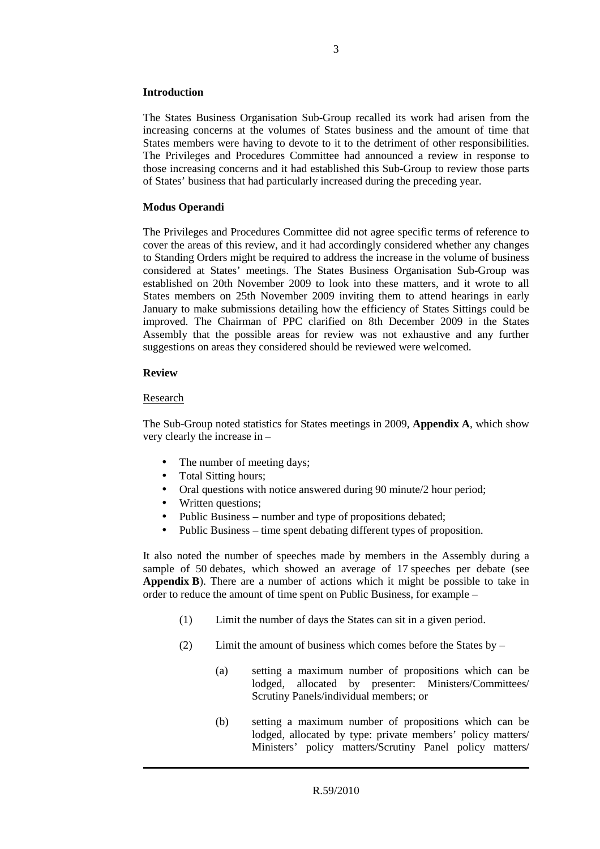# **Introduction**

The States Business Organisation Sub-Group recalled its work had arisen from the increasing concerns at the volumes of States business and the amount of time that States members were having to devote to it to the detriment of other responsibilities. The Privileges and Procedures Committee had announced a review in response to those increasing concerns and it had established this Sub-Group to review those parts of States' business that had particularly increased during the preceding year.

# **Modus Operandi**

The Privileges and Procedures Committee did not agree specific terms of reference to cover the areas of this review, and it had accordingly considered whether any changes to Standing Orders might be required to address the increase in the volume of business considered at States' meetings. The States Business Organisation Sub-Group was established on 20th November 2009 to look into these matters, and it wrote to all States members on 25th November 2009 inviting them to attend hearings in early January to make submissions detailing how the efficiency of States Sittings could be improved. The Chairman of PPC clarified on 8th December 2009 in the States Assembly that the possible areas for review was not exhaustive and any further suggestions on areas they considered should be reviewed were welcomed.

# **Review**

# Research

The Sub-Group noted statistics for States meetings in 2009, **Appendix A**, which show very clearly the increase in –

- The number of meeting days;
- Total Sitting hours;
- Oral questions with notice answered during 90 minute/2 hour period;
- Written questions;
- Public Business number and type of propositions debated;
- Public Business time spent debating different types of proposition.

It also noted the number of speeches made by members in the Assembly during a sample of 50 debates, which showed an average of 17 speeches per debate (see **Appendix B**). There are a number of actions which it might be possible to take in order to reduce the amount of time spent on Public Business, for example –

- (1) Limit the number of days the States can sit in a given period.
- (2) Limit the amount of business which comes before the States by
	- (a) setting a maximum number of propositions which can be lodged, allocated by presenter: Ministers/Committees/ Scrutiny Panels/individual members; or
	- (b) setting a maximum number of propositions which can be lodged, allocated by type: private members' policy matters/ Ministers' policy matters/Scrutiny Panel policy matters/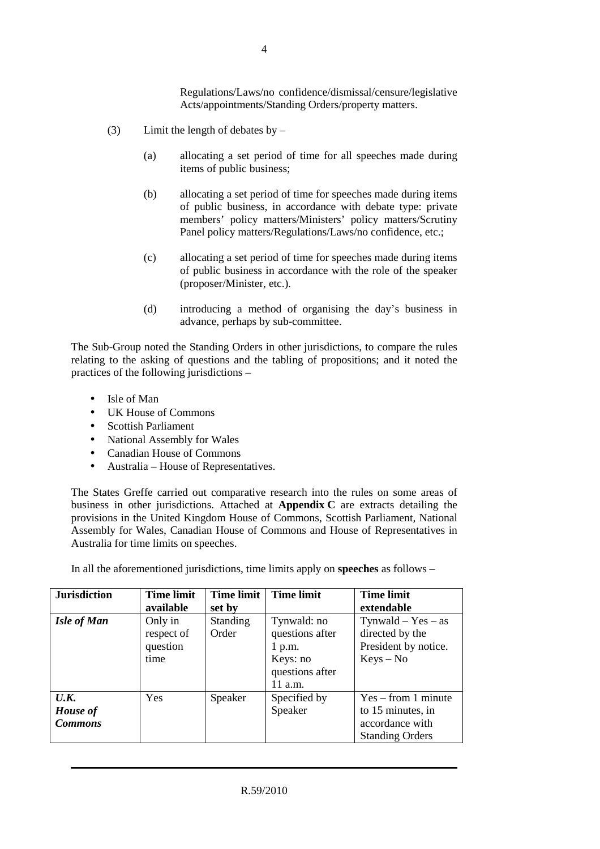Regulations/Laws/no confidence/dismissal/censure/legislative Acts/appointments/Standing Orders/property matters.

- (3) Limit the length of debates by  $-$ 
	- (a) allocating a set period of time for all speeches made during items of public business;
	- (b) allocating a set period of time for speeches made during items of public business, in accordance with debate type: private members' policy matters/Ministers' policy matters/Scrutiny Panel policy matters/Regulations/Laws/no confidence, etc.;
	- (c) allocating a set period of time for speeches made during items of public business in accordance with the role of the speaker (proposer/Minister, etc.).
	- (d) introducing a method of organising the day's business in advance, perhaps by sub-committee.

The Sub-Group noted the Standing Orders in other jurisdictions, to compare the rules relating to the asking of questions and the tabling of propositions; and it noted the practices of the following jurisdictions –

- Isle of Man
- UK House of Commons
- Scottish Parliament
- National Assembly for Wales
- Canadian House of Commons
- Australia House of Representatives.

The States Greffe carried out comparative research into the rules on some areas of business in other jurisdictions. Attached at **Appendix C** are extracts detailing the provisions in the United Kingdom House of Commons, Scottish Parliament, National Assembly for Wales, Canadian House of Commons and House of Representatives in Australia for time limits on speeches.

In all the aforementioned jurisdictions, time limits apply on **speeches** as follows –

| <b>Jurisdiction</b>                       | <b>Time limit</b><br>available            | <b>Time limit</b><br>set by | <b>Time limit</b>                                                                    | <b>Time limit</b><br>extendable                                                         |
|-------------------------------------------|-------------------------------------------|-----------------------------|--------------------------------------------------------------------------------------|-----------------------------------------------------------------------------------------|
| <b>Isle of Man</b>                        | Only in<br>respect of<br>question<br>time | <b>Standing</b><br>Order    | Tynwald: no<br>questions after<br>$1$ p.m.<br>Keys: no<br>questions after<br>11 a.m. | $Tynwald - Yes - as$<br>directed by the<br>President by notice.<br>$Keys - No$          |
| U.K.<br><b>House</b> of<br><b>Commons</b> | Yes                                       | Speaker                     | Specified by<br>Speaker                                                              | $Yes - from 1 minute$<br>to 15 minutes, in<br>accordance with<br><b>Standing Orders</b> |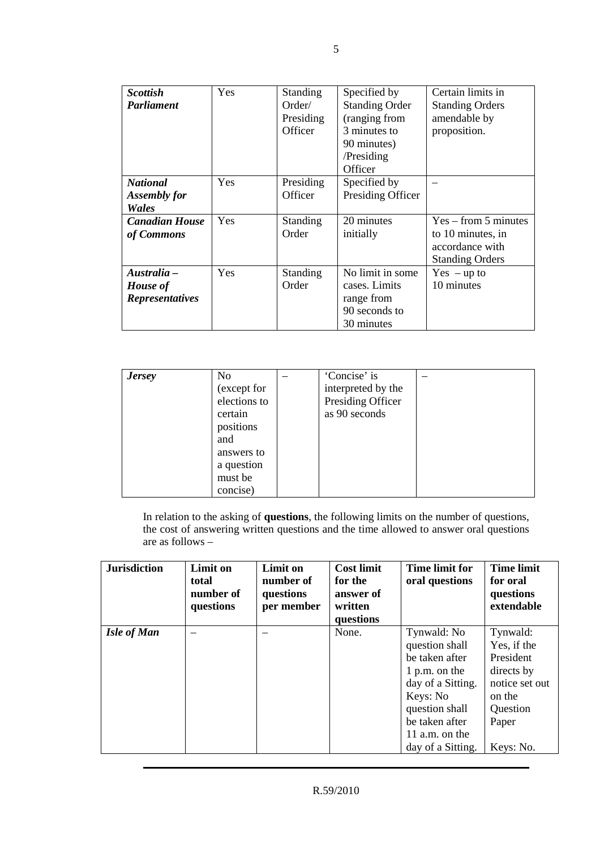| <b>Scottish</b>        | Yes.       | <b>Standing</b> | Specified by          | Certain limits in      |
|------------------------|------------|-----------------|-----------------------|------------------------|
| <b>Parliament</b>      |            | Order/          | <b>Standing Order</b> | <b>Standing Orders</b> |
|                        |            | Presiding       | (ranging from         | amendable by           |
|                        |            | Officer         | 3 minutes to          | proposition.           |
|                        |            |                 | 90 minutes)           |                        |
|                        |            |                 | /Presiding            |                        |
|                        |            |                 | Officer               |                        |
| <b>National</b>        | Yes        | Presiding       | Specified by          |                        |
| <b>Assembly for</b>    |            | Officer         | Presiding Officer     |                        |
| Wales                  |            |                 |                       |                        |
| <b>Canadian House</b>  | Yes        | <b>Standing</b> | 20 minutes            | $Yes - from 5 minutes$ |
| of Commons             |            | Order           | initially             | to 10 minutes, in      |
|                        |            |                 |                       | accordance with        |
|                        |            |                 |                       | <b>Standing Orders</b> |
| Australia –            | <b>Yes</b> | <b>Standing</b> | No limit in some      | $Yes - up to$          |
| <b>House</b> of        |            | Order           | cases. Limits         | 10 minutes             |
| <b>Representatives</b> |            |                 | range from            |                        |
|                        |            |                 | 90 seconds to         |                        |
|                        |            |                 | 30 minutes            |                        |

| <b>Jersey</b> | No<br>(except for<br>elections to               | 'Concise' is<br>interpreted by the<br>Presiding Officer |  |
|---------------|-------------------------------------------------|---------------------------------------------------------|--|
|               | certain<br>positions<br>and                     | as 90 seconds                                           |  |
|               | answers to<br>a question<br>must be<br>concise) |                                                         |  |

In relation to the asking of **questions**, the following limits on the number of questions, the cost of answering written questions and the time allowed to answer oral questions are as follows –

| <b>Jurisdiction</b> | <b>Limit on</b><br>total<br>number of<br>questions | Limit on<br>number of<br>questions<br>per member | <b>Cost limit</b><br>for the<br>answer of<br>written<br>questions | <b>Time limit for</b><br>oral questions                                                                                                                                      | <b>Time limit</b><br>for oral<br>questions<br>extendable                                                         |
|---------------------|----------------------------------------------------|--------------------------------------------------|-------------------------------------------------------------------|------------------------------------------------------------------------------------------------------------------------------------------------------------------------------|------------------------------------------------------------------------------------------------------------------|
| <b>Isle of Man</b>  |                                                    |                                                  | None.                                                             | Tynwald: No<br>question shall<br>be taken after<br>1 p.m. on the<br>day of a Sitting.<br>Keys: No<br>question shall<br>be taken after<br>11 a.m. on the<br>day of a Sitting. | Tynwald:<br>Yes, if the<br>President<br>directs by<br>notice set out<br>on the<br>Question<br>Paper<br>Keys: No. |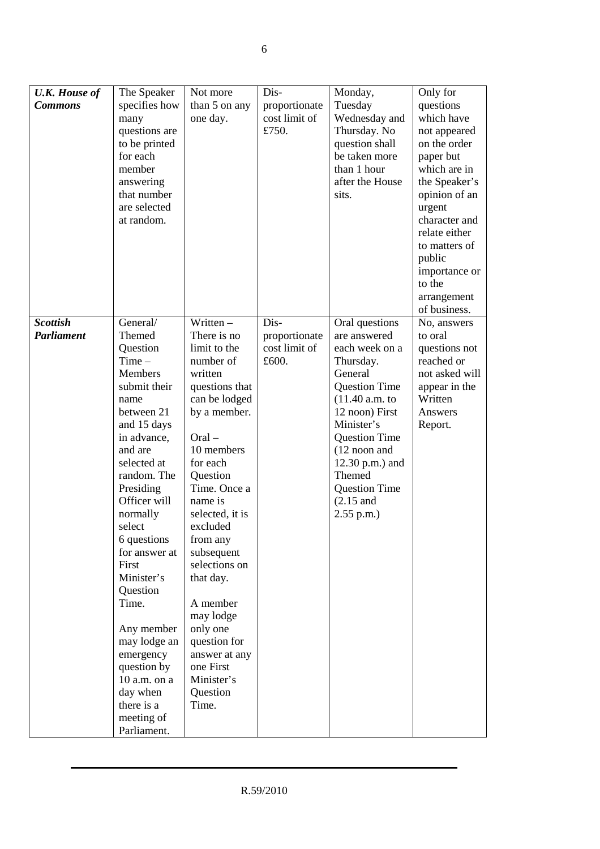| <b>U.K. House of</b>                 | The Speaker            | Not more                      | Dis-                           | Monday,                        | Only for               |
|--------------------------------------|------------------------|-------------------------------|--------------------------------|--------------------------------|------------------------|
| <b>Commons</b>                       | specifies how          | than 5 on any                 | proportionate                  | Tuesday                        | questions              |
|                                      | many                   | one day.                      | cost limit of                  | Wednesday and                  | which have             |
|                                      | questions are          |                               | £750.                          | Thursday. No                   | not appeared           |
|                                      | to be printed          |                               |                                | question shall                 | on the order           |
|                                      | for each               |                               |                                | be taken more                  | paper but              |
|                                      | member                 |                               |                                | than 1 hour                    | which are in           |
|                                      | answering              |                               |                                | after the House                | the Speaker's          |
|                                      | that number            |                               |                                | sits.                          | opinion of an          |
|                                      | are selected           |                               |                                |                                | urgent                 |
|                                      | at random.             |                               |                                |                                | character and          |
|                                      |                        |                               |                                |                                | relate either          |
|                                      |                        |                               |                                |                                | to matters of          |
|                                      |                        |                               |                                |                                | public                 |
|                                      |                        |                               |                                |                                | importance or          |
|                                      |                        |                               |                                |                                | to the                 |
|                                      |                        |                               |                                |                                | arrangement            |
|                                      |                        | $\overline{\text{Written}}$ – | $\overline{Dis}$               |                                | of business.           |
| <b>Scottish</b><br><b>Parliament</b> | General/<br>Themed     | There is no                   |                                | Oral questions<br>are answered | No, answers<br>to oral |
|                                      | Question               | limit to the                  | proportionate<br>cost limit of | each week on a                 | questions not          |
|                                      | $Time -$               | number of                     | £600.                          | Thursday.                      | reached or             |
|                                      | <b>Members</b>         | written                       |                                | General                        | not asked will         |
|                                      | submit their           | questions that                |                                | <b>Question Time</b>           | appear in the          |
|                                      | name                   | can be lodged                 |                                | (11.40 a.m. to                 | Written                |
|                                      | between 21             | by a member.                  |                                | 12 noon) First                 | Answers                |
|                                      | and 15 days            |                               |                                | Minister's                     | Report.                |
|                                      | in advance,            | $Oral -$                      |                                | <b>Question Time</b>           |                        |
|                                      | and are                | 10 members                    |                                | (12 noon and                   |                        |
|                                      | selected at            | for each                      |                                | 12.30 p.m.) and                |                        |
|                                      | random. The            | Question                      |                                | Themed                         |                        |
|                                      | Presiding              | Time. Once a                  |                                | <b>Question Time</b>           |                        |
|                                      | Officer will           | name is                       |                                | $(2.15$ and                    |                        |
|                                      | normally               | selected, it is               |                                | $2.55$ p.m.)                   |                        |
|                                      | select                 | excluded                      |                                |                                |                        |
|                                      | 6 questions            | from any                      |                                |                                |                        |
|                                      | for answer at          | subsequent                    |                                |                                |                        |
|                                      | First                  | selections on                 |                                |                                |                        |
|                                      | Minister's<br>Question | that day.                     |                                |                                |                        |
|                                      | Time.                  | A member                      |                                |                                |                        |
|                                      |                        | may lodge                     |                                |                                |                        |
|                                      | Any member             | only one                      |                                |                                |                        |
|                                      | may lodge an           | question for                  |                                |                                |                        |
|                                      | emergency              | answer at any                 |                                |                                |                        |
|                                      | question by            | one First                     |                                |                                |                        |
|                                      | 10 a.m. on a           | Minister's                    |                                |                                |                        |
|                                      | day when               | Question                      |                                |                                |                        |
|                                      | there is a             | Time.                         |                                |                                |                        |
|                                      | meeting of             |                               |                                |                                |                        |
|                                      | Parliament.            |                               |                                |                                |                        |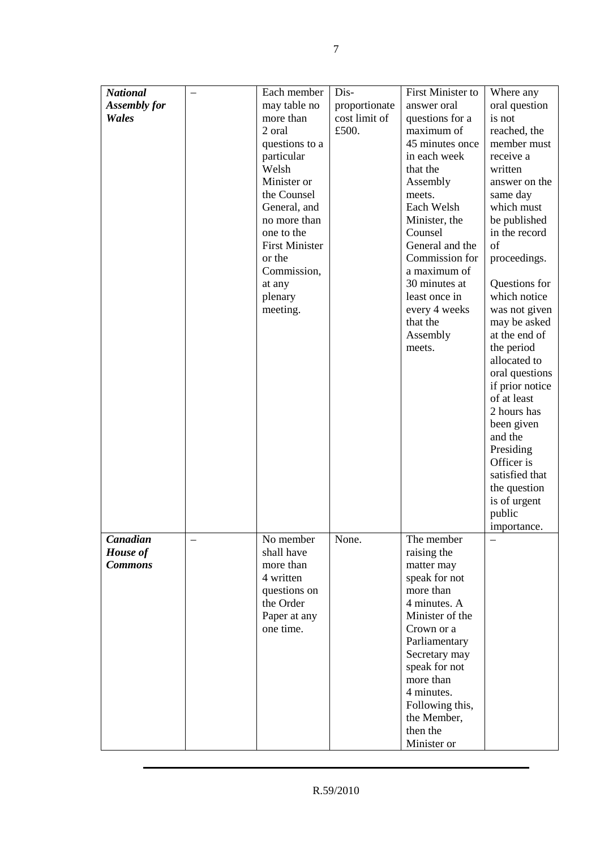| <b>National</b>     | Each member           | Dis-          | First Minister to              | Where any                     |
|---------------------|-----------------------|---------------|--------------------------------|-------------------------------|
| <b>Assembly for</b> | may table no          | proportionate | answer oral                    | oral question                 |
| Wales               | more than             | cost limit of | questions for a                | is not                        |
|                     | 2 oral                | £500.         | maximum of                     | reached, the                  |
|                     | questions to a        |               | 45 minutes once                | member must                   |
|                     | particular            |               | in each week                   | receive a                     |
|                     | Welsh<br>Minister or  |               | that the                       | written<br>answer on the      |
|                     | the Counsel           |               | Assembly<br>meets.             | same day                      |
|                     | General, and          |               | Each Welsh                     | which must                    |
|                     | no more than          |               | Minister, the                  | be published                  |
|                     | one to the            |               | Counsel                        | in the record                 |
|                     | <b>First Minister</b> |               | General and the                | of                            |
|                     | or the                |               | Commission for                 | proceedings.                  |
|                     | Commission,           |               | a maximum of                   |                               |
|                     | at any                |               | 30 minutes at                  | Questions for                 |
|                     | plenary               |               | least once in                  | which notice                  |
|                     | meeting.              |               | every 4 weeks                  | was not given                 |
|                     |                       |               | that the                       | may be asked<br>at the end of |
|                     |                       |               | Assembly<br>meets.             | the period                    |
|                     |                       |               |                                | allocated to                  |
|                     |                       |               |                                | oral questions                |
|                     |                       |               |                                | if prior notice               |
|                     |                       |               |                                | of at least                   |
|                     |                       |               |                                | 2 hours has                   |
|                     |                       |               |                                | been given                    |
|                     |                       |               |                                | and the                       |
|                     |                       |               |                                | Presiding                     |
|                     |                       |               |                                | Officer is                    |
|                     |                       |               |                                | satisfied that                |
|                     |                       |               |                                | the question<br>is of urgent  |
|                     |                       |               |                                | public                        |
|                     |                       |               |                                | importance.                   |
| Canadian            | No member             | None.         | The member                     |                               |
| House of            | shall have            |               | raising the                    |                               |
| <b>Commons</b>      | more than             |               | matter may                     |                               |
|                     | 4 written             |               | speak for not                  |                               |
|                     | questions on          |               | more than                      |                               |
|                     | the Order             |               | 4 minutes. A                   |                               |
|                     | Paper at any          |               | Minister of the                |                               |
|                     | one time.             |               | Crown or a                     |                               |
|                     |                       |               | Parliamentary                  |                               |
|                     |                       |               | Secretary may<br>speak for not |                               |
|                     |                       |               | more than                      |                               |
|                     |                       |               | 4 minutes.                     |                               |
|                     |                       |               | Following this,                |                               |
|                     |                       |               | the Member,                    |                               |
|                     |                       |               | then the                       |                               |
|                     |                       |               | Minister or                    |                               |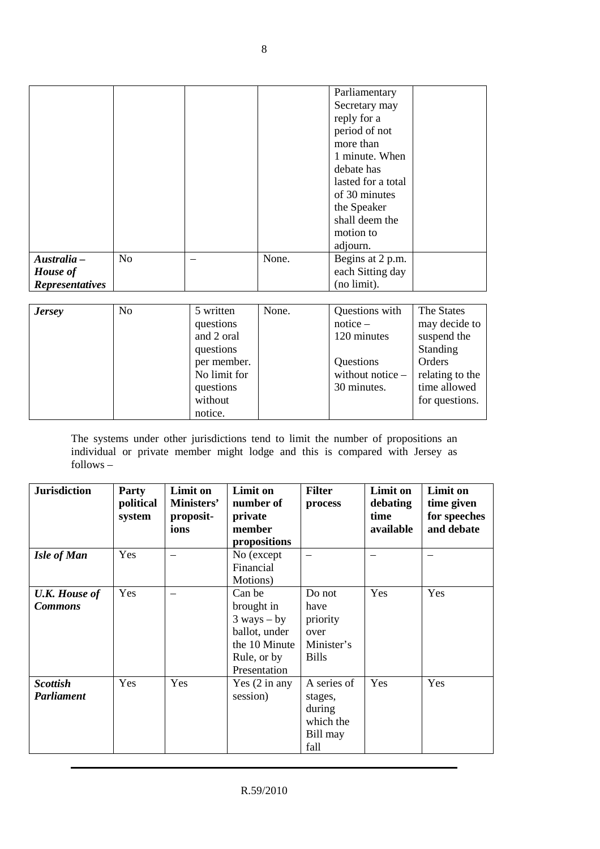|                                                          |                |                                                                                                          |       | Parliamentary<br>Secretary may<br>reply for a<br>period of not<br>more than<br>1 minute. When<br>debate has<br>lasted for a total<br>of 30 minutes<br>the Speaker<br>shall deem the<br>motion to<br>adjourn. |                                                                                                                       |
|----------------------------------------------------------|----------------|----------------------------------------------------------------------------------------------------------|-------|--------------------------------------------------------------------------------------------------------------------------------------------------------------------------------------------------------------|-----------------------------------------------------------------------------------------------------------------------|
| Australia -<br><b>House</b> of<br><b>Representatives</b> | N <sub>o</sub> |                                                                                                          | None. | Begins at 2 p.m.<br>each Sitting day<br>(no limit).                                                                                                                                                          |                                                                                                                       |
|                                                          |                |                                                                                                          |       |                                                                                                                                                                                                              |                                                                                                                       |
| <b>Jersey</b>                                            | N <sub>o</sub> | 5 written<br>questions<br>and 2 oral<br>questions<br>per member.<br>No limit for<br>questions<br>without | None. | Questions with<br>$notice -$<br>120 minutes<br>Questions<br>without notice -<br>30 minutes.                                                                                                                  | The States<br>may decide to<br>suspend the<br>Standing<br>Orders<br>relating to the<br>time allowed<br>for questions. |

The systems under other jurisdictions tend to limit the number of propositions an individual or private member might lodge and this is compared with Jersey as follows –

notice.

| <b>Jurisdiction</b>                    | <b>Party</b><br>political<br>system | Limit on<br>Ministers'<br>proposit-<br>ions | Limit on<br>number of<br>private<br>member<br>propositions                                               | <b>Filter</b><br>process                                          | Limit on<br>debating<br>time<br>available | <b>Limit on</b><br>time given<br>for speeches<br>and debate |
|----------------------------------------|-------------------------------------|---------------------------------------------|----------------------------------------------------------------------------------------------------------|-------------------------------------------------------------------|-------------------------------------------|-------------------------------------------------------------|
| <b>Isle of Man</b>                     | Yes                                 | $\overline{\phantom{m}}$                    | No (except<br>Financial<br>Motions)                                                                      |                                                                   |                                           | —                                                           |
| <b>U.K. House of</b><br><b>Commons</b> | Yes                                 |                                             | Can be<br>brought in<br>$3$ ways $-$ by<br>ballot, under<br>the 10 Minute<br>Rule, or by<br>Presentation | Do not<br>have<br>priority<br>over<br>Minister's<br><b>Bills</b>  | Yes                                       | Yes                                                         |
| <b>Scottish</b><br>Parliament          | Yes                                 | Yes                                         | Yes $(2 \text{ in any})$<br>session)                                                                     | A series of<br>stages,<br>during<br>which the<br>Bill may<br>fall | Yes                                       | Yes                                                         |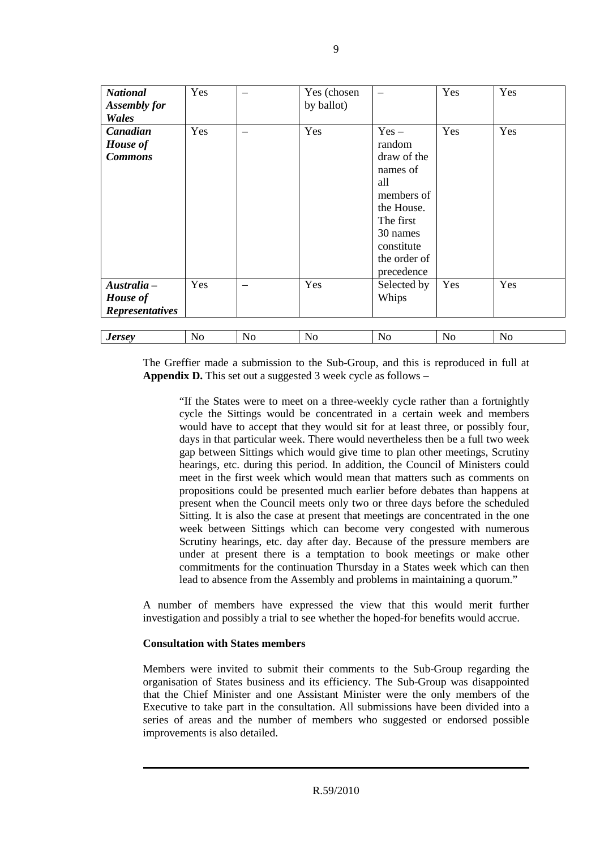| <b>National</b><br><b>Assembly for</b><br>Wales   | Yes |           | Yes (chosen<br>by ballot) |                                                                                                                                                      | Yes            | Yes            |
|---------------------------------------------------|-----|-----------|---------------------------|------------------------------------------------------------------------------------------------------------------------------------------------------|----------------|----------------|
| Canadian<br>House of<br><b>Commons</b>            | Yes |           | Yes                       | $Yes -$<br>random<br>draw of the<br>names of<br>all<br>members of<br>the House.<br>The first<br>30 names<br>constitute<br>the order of<br>precedence | Yes            | Yes            |
| Australia -<br>House of<br><b>Representatives</b> | Yes |           | Yes                       | Selected by<br>Whips                                                                                                                                 | Yes            | Yes            |
| <b>Jersey</b>                                     | No  | <b>No</b> | N <sub>o</sub>            | N <sub>o</sub>                                                                                                                                       | N <sub>o</sub> | N <sub>o</sub> |

The Greffier made a submission to the Sub-Group, and this is reproduced in full at **Appendix D.** This set out a suggested 3 week cycle as follows –

"If the States were to meet on a three-weekly cycle rather than a fortnightly cycle the Sittings would be concentrated in a certain week and members would have to accept that they would sit for at least three, or possibly four, days in that particular week. There would nevertheless then be a full two week gap between Sittings which would give time to plan other meetings, Scrutiny hearings, etc. during this period. In addition, the Council of Ministers could meet in the first week which would mean that matters such as comments on propositions could be presented much earlier before debates than happens at present when the Council meets only two or three days before the scheduled Sitting. It is also the case at present that meetings are concentrated in the one week between Sittings which can become very congested with numerous Scrutiny hearings, etc. day after day. Because of the pressure members are under at present there is a temptation to book meetings or make other commitments for the continuation Thursday in a States week which can then lead to absence from the Assembly and problems in maintaining a quorum."

A number of members have expressed the view that this would merit further investigation and possibly a trial to see whether the hoped-for benefits would accrue.

# **Consultation with States members**

Members were invited to submit their comments to the Sub-Group regarding the organisation of States business and its efficiency. The Sub-Group was disappointed that the Chief Minister and one Assistant Minister were the only members of the Executive to take part in the consultation. All submissions have been divided into a series of areas and the number of members who suggested or endorsed possible improvements is also detailed.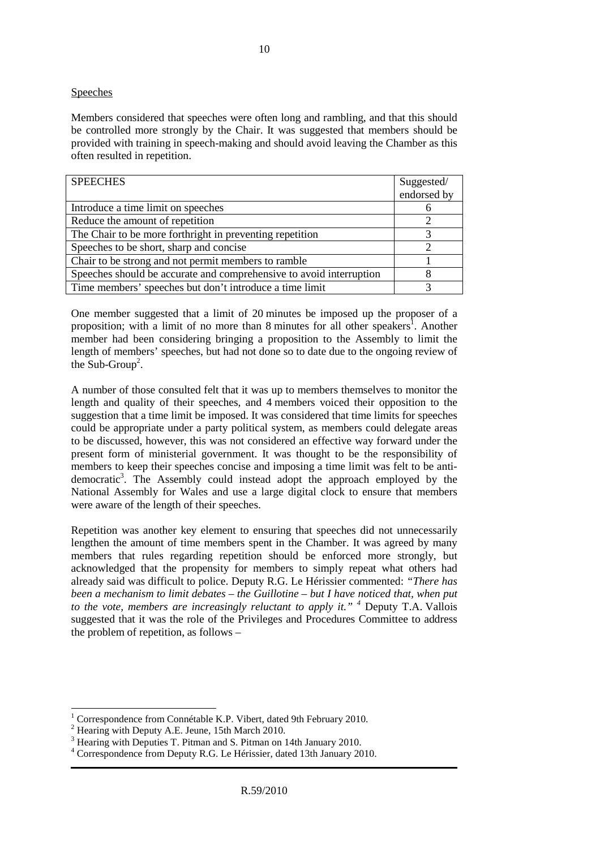## **Speeches**

Members considered that speeches were often long and rambling, and that this should be controlled more strongly by the Chair. It was suggested that members should be provided with training in speech-making and should avoid leaving the Chamber as this often resulted in repetition.

| <b>SPEECHES</b>                                                     | Suggested/  |
|---------------------------------------------------------------------|-------------|
|                                                                     | endorsed by |
| Introduce a time limit on speeches                                  |             |
| Reduce the amount of repetition                                     |             |
| The Chair to be more forthright in preventing repetition            |             |
| Speeches to be short, sharp and concise                             |             |
| Chair to be strong and not permit members to ramble                 |             |
| Speeches should be accurate and comprehensive to avoid interruption |             |
| Time members' speeches but don't introduce a time limit             |             |

One member suggested that a limit of 20 minutes be imposed up the proposer of a proposition; with a limit of no more than 8 minutes for all other speakers<sup>1</sup>. Another member had been considering bringing a proposition to the Assembly to limit the length of members' speeches, but had not done so to date due to the ongoing review of the Sub-Group<sup>2</sup>.

A number of those consulted felt that it was up to members themselves to monitor the length and quality of their speeches, and 4 members voiced their opposition to the suggestion that a time limit be imposed. It was considered that time limits for speeches could be appropriate under a party political system, as members could delegate areas to be discussed, however, this was not considered an effective way forward under the present form of ministerial government. It was thought to be the responsibility of members to keep their speeches concise and imposing a time limit was felt to be antidemocratic<sup>3</sup>. The Assembly could instead adopt the approach employed by the National Assembly for Wales and use a large digital clock to ensure that members were aware of the length of their speeches.

Repetition was another key element to ensuring that speeches did not unnecessarily lengthen the amount of time members spent in the Chamber. It was agreed by many members that rules regarding repetition should be enforced more strongly, but acknowledged that the propensity for members to simply repeat what others had already said was difficult to police. Deputy R.G. Le Hérissier commented: *"There has been a mechanism to limit debates – the Guillotine – but I have noticed that, when put to the vote, members are increasingly reluctant to apply it." <sup>4</sup>* Deputy T.A. Vallois suggested that it was the role of the Privileges and Procedures Committee to address the problem of repetition, as follows –

 $\overline{a}$ 

<sup>1</sup> Correspondence from Connétable K.P. Vibert, dated 9th February 2010.

<sup>&</sup>lt;sup>2</sup> Hearing with Deputy A.E. Jeune, 15th March 2010.

<sup>&</sup>lt;sup>3</sup> Hearing with Deputies T. Pitman and S. Pitman on 14th January 2010.

<sup>4</sup> Correspondence from Deputy R.G. Le Hérissier, dated 13th January 2010.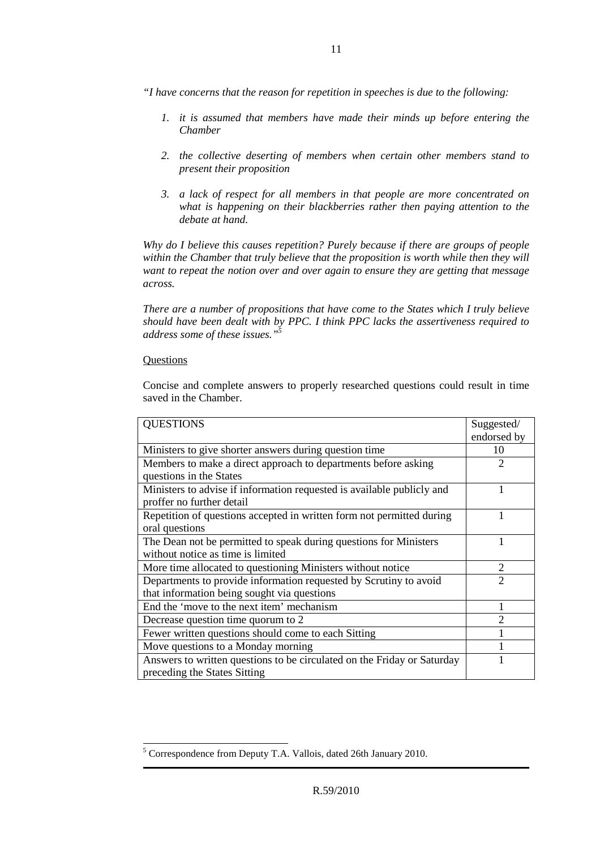- *"I have concerns that the reason for repetition in speeches is due to the following:* 
	- *1. it is assumed that members have made their minds up before entering the Chamber*
	- *2. the collective deserting of members when certain other members stand to present their proposition*
	- *3. a lack of respect for all members in that people are more concentrated on what is happening on their blackberries rather then paying attention to the debate at hand.*

*Why do I believe this causes repetition? Purely because if there are groups of people within the Chamber that truly believe that the proposition is worth while then they will want to repeat the notion over and over again to ensure they are getting that message across.* 

*There are a number of propositions that have come to the States which I truly believe should have been dealt with by PPC. I think PPC lacks the assertiveness required to address some of these issues."<sup>5</sup>*

# **Ouestions**

Concise and complete answers to properly researched questions could result in time saved in the Chamber.

| <b>QUESTIONS</b>                                                                                                 | Suggested/<br>endorsed by |
|------------------------------------------------------------------------------------------------------------------|---------------------------|
| Ministers to give shorter answers during question time                                                           | 10                        |
| Members to make a direct approach to departments before asking<br>questions in the States                        | $\overline{c}$            |
| Ministers to advise if information requested is available publicly and<br>proffer no further detail              | 1                         |
| Repetition of questions accepted in written form not permitted during<br>oral questions                          | 1                         |
| The Dean not be permitted to speak during questions for Ministers<br>without notice as time is limited           |                           |
| More time allocated to questioning Ministers without notice                                                      | $\overline{2}$            |
| Departments to provide information requested by Scrutiny to avoid<br>that information being sought via questions | $\mathfrak{D}$            |
| End the 'move to the next item' mechanism                                                                        |                           |
| Decrease question time quorum to 2                                                                               | $\overline{2}$            |
| Fewer written questions should come to each Sitting                                                              |                           |
| Move questions to a Monday morning                                                                               |                           |
| Answers to written questions to be circulated on the Friday or Saturday<br>preceding the States Sitting          |                           |

 5 Correspondence from Deputy T.A. Vallois, dated 26th January 2010.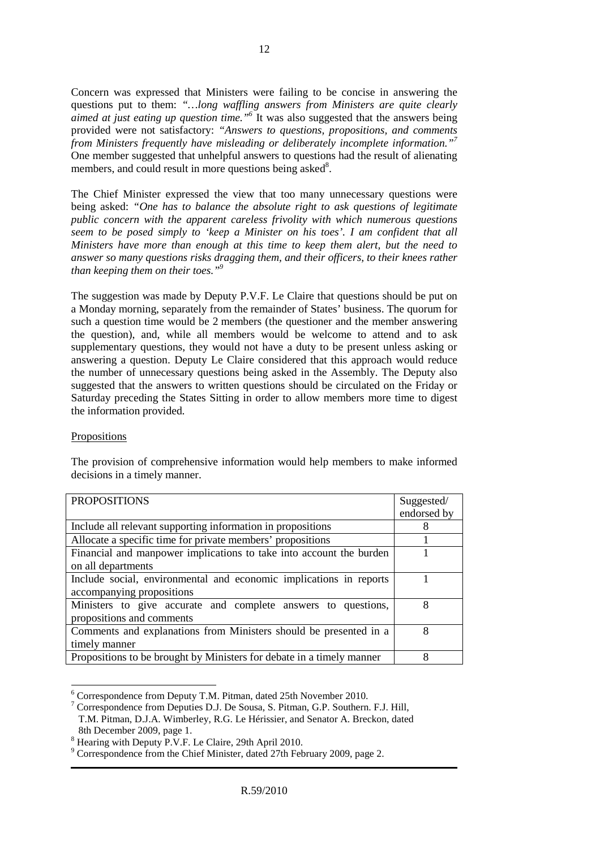Concern was expressed that Ministers were failing to be concise in answering the questions put to them: *"…long waffling answers from Ministers are quite clearly aimed at just eating up question time."<sup>6</sup>* It was also suggested that the answers being provided were not satisfactory: *"Answers to questions, propositions, and comments from Ministers frequently have misleading or deliberately incomplete information."<sup>7</sup>* One member suggested that unhelpful answers to questions had the result of alienating members, and could result in more questions being asked<sup>8</sup>.

The Chief Minister expressed the view that too many unnecessary questions were being asked: *"One has to balance the absolute right to ask questions of legitimate public concern with the apparent careless frivolity with which numerous questions seem to be posed simply to 'keep a Minister on his toes'. I am confident that all Ministers have more than enough at this time to keep them alert, but the need to answer so many questions risks dragging them, and their officers, to their knees rather than keeping them on their toes."<sup>9</sup>*

The suggestion was made by Deputy P.V.F. Le Claire that questions should be put on a Monday morning, separately from the remainder of States' business. The quorum for such a question time would be 2 members (the questioner and the member answering the question), and, while all members would be welcome to attend and to ask supplementary questions, they would not have a duty to be present unless asking or answering a question. Deputy Le Claire considered that this approach would reduce the number of unnecessary questions being asked in the Assembly. The Deputy also suggested that the answers to written questions should be circulated on the Friday or Saturday preceding the States Sitting in order to allow members more time to digest the information provided.

# Propositions

The provision of comprehensive information would help members to make informed decisions in a timely manner.

| <b>PROPOSITIONS</b>                                                   | Suggested/  |
|-----------------------------------------------------------------------|-------------|
|                                                                       | endorsed by |
| Include all relevant supporting information in propositions           |             |
| Allocate a specific time for private members' propositions            |             |
| Financial and manpower implications to take into account the burden   |             |
| on all departments                                                    |             |
| Include social, environmental and economic implications in reports    |             |
| accompanying propositions                                             |             |
| Ministers to give accurate and complete answers to questions,         | 8           |
| propositions and comments                                             |             |
| Comments and explanations from Ministers should be presented in a     | 8           |
| timely manner                                                         |             |
| Propositions to be brought by Ministers for debate in a timely manner | 8           |

 6 Correspondence from Deputy T.M. Pitman, dated 25th November 2010.

<sup>7</sup> Correspondence from Deputies D.J. De Sousa, S. Pitman, G.P. Southern. F.J. Hill, T.M. Pitman, D.J.A. Wimberley, R.G. Le Hérissier, and Senator A. Breckon, dated 8th December 2009, page 1.

<sup>&</sup>lt;sup>8</sup> Hearing with Deputy P.V.F. Le Claire, 29th April 2010.

<sup>&</sup>lt;sup>9</sup> Correspondence from the Chief Minister, dated 27th February 2009, page 2.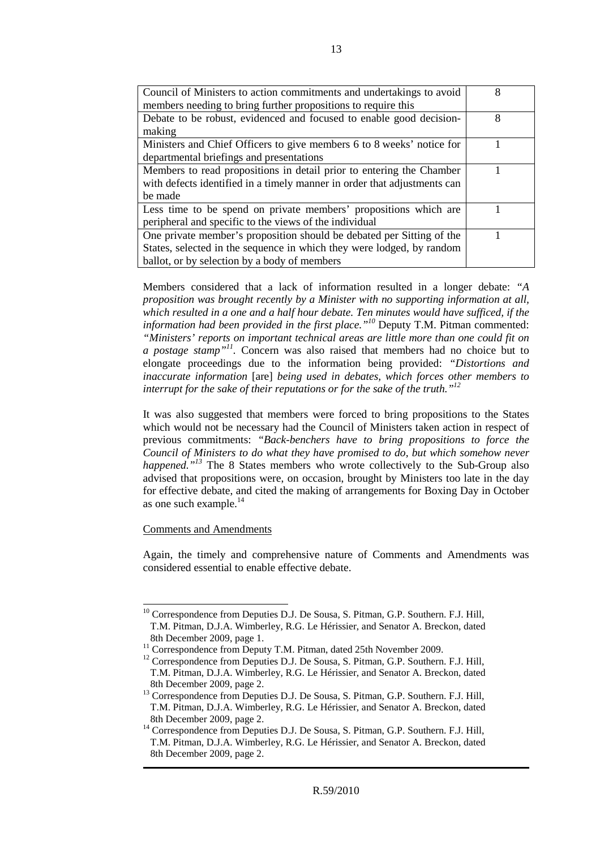| Council of Ministers to action commitments and undertakings to avoid     | 8 |
|--------------------------------------------------------------------------|---|
| members needing to bring further propositions to require this            |   |
| Debate to be robust, evidenced and focused to enable good decision-      | 8 |
| making                                                                   |   |
| Ministers and Chief Officers to give members 6 to 8 weeks' notice for    |   |
| departmental briefings and presentations                                 |   |
| Members to read propositions in detail prior to entering the Chamber     |   |
| with defects identified in a timely manner in order that adjustments can |   |
| be made                                                                  |   |
| Less time to be spend on private members' propositions which are         |   |
| peripheral and specific to the views of the individual                   |   |
| One private member's proposition should be debated per Sitting of the    |   |
| States, selected in the sequence in which they were lodged, by random    |   |
| ballot, or by selection by a body of members                             |   |

Members considered that a lack of information resulted in a longer debate: *"A proposition was brought recently by a Minister with no supporting information at all, which resulted in a one and a half hour debate. Ten minutes would have sufficed, if the information had been provided in the first place."<sup>10</sup>* Deputy T.M. Pitman commented: *"Ministers' reports on important technical areas are little more than one could fit on a postage stamp"<sup>11</sup> .* Concern was also raised that members had no choice but to elongate proceedings due to the information being provided: *"Distortions and inaccurate information* [are] *being used in debates, which forces other members to interrupt for the sake of their reputations or for the sake of the truth."<sup>12</sup>* 

It was also suggested that members were forced to bring propositions to the States which would not be necessary had the Council of Ministers taken action in respect of previous commitments: *"Back-benchers have to bring propositions to force the Council of Ministers to do what they have promised to do, but which somehow never happened.*"<sup>13</sup> The 8 States members who wrote collectively to the Sub-Group also advised that propositions were, on occasion, brought by Ministers too late in the day for effective debate, and cited the making of arrangements for Boxing Day in October as one such example*.* 14

# Comments and Amendments

 $\overline{a}$ 

Again, the timely and comprehensive nature of Comments and Amendments was considered essential to enable effective debate.

<sup>&</sup>lt;sup>10</sup> Correspondence from Deputies D.J. De Sousa, S. Pitman, G.P. Southern. F.J. Hill, T.M. Pitman, D.J.A. Wimberley, R.G. Le Hérissier, and Senator A. Breckon, dated 8th December 2009, page 1.

<sup>&</sup>lt;sup>11</sup> Correspondence from Deputy T.M. Pitman, dated 25th November 2009.

<sup>&</sup>lt;sup>12</sup> Correspondence from Deputies D.J. De Sousa, S. Pitman, G.P. Southern. F.J. Hill, T.M. Pitman, D.J.A. Wimberley, R.G. Le Hérissier, and Senator A. Breckon, dated 8th December 2009, page 2.

<sup>&</sup>lt;sup>13</sup> Correspondence from Deputies D.J. De Sousa, S. Pitman, G.P. Southern. F.J. Hill, T.M. Pitman, D.J.A. Wimberley, R.G. Le Hérissier, and Senator A. Breckon, dated 8th December 2009, page 2.

<sup>&</sup>lt;sup>14</sup> Correspondence from Deputies D.J. De Sousa, S. Pitman, G.P. Southern. F.J. Hill, T.M. Pitman, D.J.A. Wimberley, R.G. Le Hérissier, and Senator A. Breckon, dated 8th December 2009, page 2.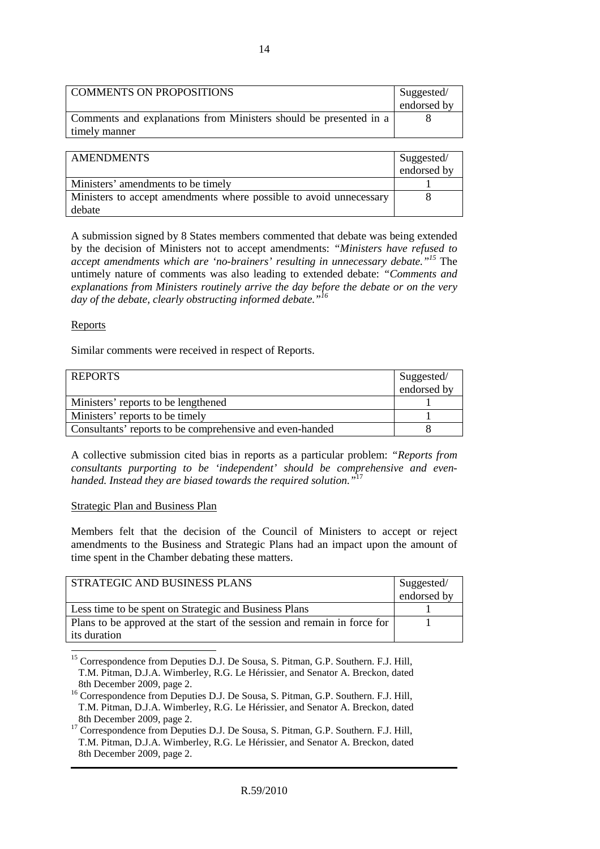| COMMENTS ON PROPOSITIONS                                                           | Suggested/  |
|------------------------------------------------------------------------------------|-------------|
|                                                                                    | endorsed by |
| Comments and explanations from Ministers should be presented in a<br>timely manner |             |

| <b>AMENDMENTS</b>                                                  | Suggested/  |
|--------------------------------------------------------------------|-------------|
|                                                                    | endorsed by |
| Ministers' amendments to be timely                                 |             |
| Ministers to accept amendments where possible to avoid unnecessary |             |
| debate                                                             |             |

A submission signed by 8 States members commented that debate was being extended by the decision of Ministers not to accept amendments: *"Ministers have refused to accept amendments which are 'no-brainers' resulting in unnecessary debate."<sup>15</sup>* The untimely nature of comments was also leading to extended debate: *"Comments and explanations from Ministers routinely arrive the day before the debate or on the very day of the debate, clearly obstructing informed debate."<sup>16</sup>*

# Reports

Similar comments were received in respect of Reports.

| <b>REPORTS</b>                                           | Suggested/<br>endorsed by |
|----------------------------------------------------------|---------------------------|
| Ministers' reports to be lengthened                      |                           |
| Ministers' reports to be timely                          |                           |
| Consultants' reports to be comprehensive and even-handed |                           |

A collective submission cited bias in reports as a particular problem: *"Reports from consultants purporting to be 'independent' should be comprehensive and evenhanded. Instead they are biased towards the required solution."*<sup>17</sup>

# Strategic Plan and Business Plan

Members felt that the decision of the Council of Ministers to accept or reject amendments to the Business and Strategic Plans had an impact upon the amount of time spent in the Chamber debating these matters.

| STRATEGIC AND BUSINESS PLANS                                             | Suggested/  |
|--------------------------------------------------------------------------|-------------|
|                                                                          | endorsed by |
| Less time to be spent on Strategic and Business Plans                    |             |
| Plans to be approved at the start of the session and remain in force for |             |
| its duration                                                             |             |

 $\overline{a}$ <sup>15</sup> Correspondence from Deputies D.J. De Sousa, S. Pitman, G.P. Southern. F.J. Hill, T.M. Pitman, D.J.A. Wimberley, R.G. Le Hérissier, and Senator A. Breckon, dated 8th December 2009, page 2.

<sup>17</sup> Correspondence from Deputies D.J. De Sousa, S. Pitman, G.P. Southern. F.J. Hill, T.M. Pitman, D.J.A. Wimberley, R.G. Le Hérissier, and Senator A. Breckon, dated 8th December 2009, page 2.

<sup>&</sup>lt;sup>16</sup> Correspondence from Deputies D.J. De Sousa, S. Pitman, G.P. Southern. F.J. Hill, T.M. Pitman, D.J.A. Wimberley, R.G. Le Hérissier, and Senator A. Breckon, dated 8th December 2009, page 2.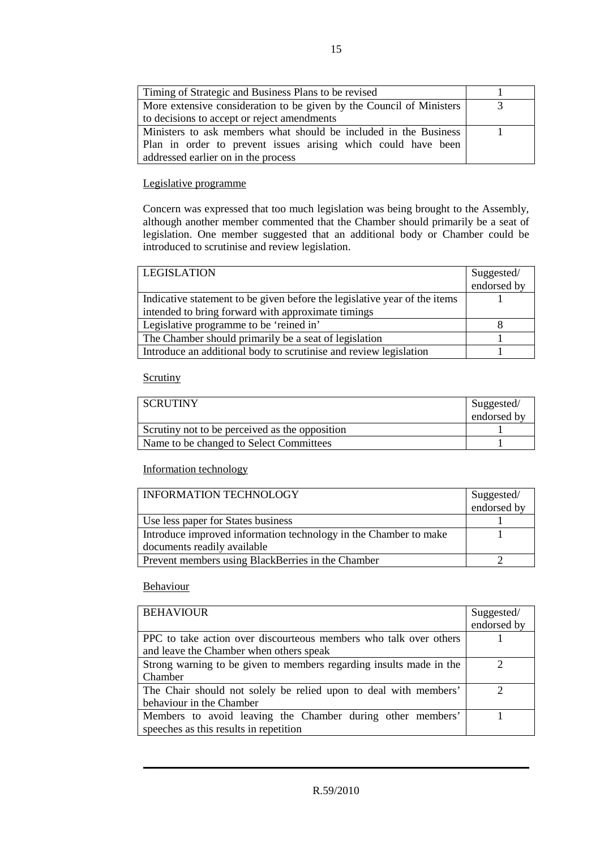| Timing of Strategic and Business Plans to be revised                 |  |
|----------------------------------------------------------------------|--|
| More extensive consideration to be given by the Council of Ministers |  |
| to decisions to accept or reject amendments                          |  |
| Ministers to ask members what should be included in the Business     |  |
| Plan in order to prevent issues arising which could have been        |  |
| addressed earlier on in the process                                  |  |

# Legislative programme

Concern was expressed that too much legislation was being brought to the Assembly, although another member commented that the Chamber should primarily be a seat of legislation. One member suggested that an additional body or Chamber could be introduced to scrutinise and review legislation.

| <b>LEGISLATION</b>                                                        | Suggested/  |
|---------------------------------------------------------------------------|-------------|
|                                                                           | endorsed by |
| Indicative statement to be given before the legislative year of the items |             |
| intended to bring forward with approximate timings                        |             |
| Legislative programme to be 'reined in'                                   |             |
| The Chamber should primarily be a seat of legislation                     |             |
| Introduce an additional body to scrutinise and review legislation         |             |

# **Scrutiny**

| <b>SCRUTINY</b>                                | Suggested/  |
|------------------------------------------------|-------------|
|                                                | endorsed by |
| Scrutiny not to be perceived as the opposition |             |
| Name to be changed to Select Committees        |             |

# Information technology

| <b>INFORMATION TECHNOLOGY</b>                                    | Suggested/<br>endorsed by |
|------------------------------------------------------------------|---------------------------|
| Use less paper for States business                               |                           |
| Introduce improved information technology in the Chamber to make |                           |
| documents readily available                                      |                           |
| Prevent members using BlackBerries in the Chamber                |                           |

# Behaviour

| <b>BEHAVIOUR</b>                                                    | Suggested/  |
|---------------------------------------------------------------------|-------------|
|                                                                     | endorsed by |
| PPC to take action over discourteous members who talk over others   |             |
| and leave the Chamber when others speak                             |             |
| Strong warning to be given to members regarding insults made in the |             |
| Chamber                                                             |             |
| The Chair should not solely be relied upon to deal with members'    | ◠           |
| behaviour in the Chamber                                            |             |
| Members to avoid leaving the Chamber during other members'          |             |
| speeches as this results in repetition                              |             |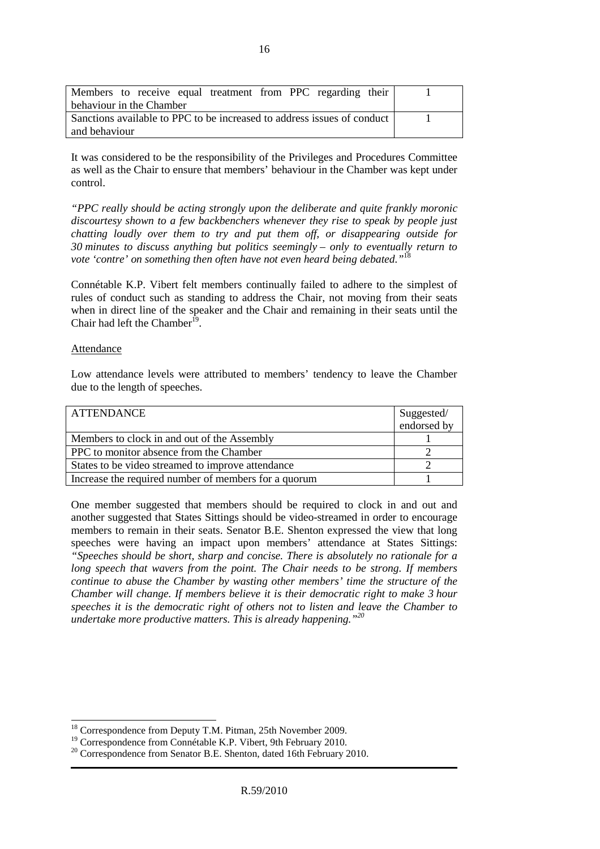| Members to receive equal treatment from PPC regarding their             |  |
|-------------------------------------------------------------------------|--|
| behaviour in the Chamber                                                |  |
| Sanctions available to PPC to be increased to address issues of conduct |  |
| and behaviour                                                           |  |

It was considered to be the responsibility of the Privileges and Procedures Committee as well as the Chair to ensure that members' behaviour in the Chamber was kept under control.

*"PPC really should be acting strongly upon the deliberate and quite frankly moronic discourtesy shown to a few backbenchers whenever they rise to speak by people just chatting loudly over them to try and put them off, or disappearing outside for 30 minutes to discuss anything but politics seemingly – only to eventually return to vote 'contre' on something then often have not even heard being debated."*<sup>18</sup>

Connétable K.P. Vibert felt members continually failed to adhere to the simplest of rules of conduct such as standing to address the Chair, not moving from their seats when in direct line of the speaker and the Chair and remaining in their seats until the Chair had left the Chamber<sup>19</sup>.

#### Attendance

 $\overline{a}$ 

Low attendance levels were attributed to members' tendency to leave the Chamber due to the length of speeches.

| <b>ATTENDANCE</b>                                    | Suggested/  |
|------------------------------------------------------|-------------|
|                                                      | endorsed by |
| Members to clock in and out of the Assembly          |             |
| PPC to monitor absence from the Chamber              |             |
| States to be video streamed to improve attendance    |             |
| Increase the required number of members for a quorum |             |

One member suggested that members should be required to clock in and out and another suggested that States Sittings should be video-streamed in order to encourage members to remain in their seats. Senator B.E. Shenton expressed the view that long speeches were having an impact upon members' attendance at States Sittings: *"Speeches should be short, sharp and concise. There is absolutely no rationale for a long speech that wavers from the point. The Chair needs to be strong. If members continue to abuse the Chamber by wasting other members' time the structure of the Chamber will change. If members believe it is their democratic right to make 3 hour speeches it is the democratic right of others not to listen and leave the Chamber to undertake more productive matters. This is already happening."<sup>20</sup>* 

<sup>&</sup>lt;sup>18</sup> Correspondence from Deputy T.M. Pitman, 25th November 2009.

<sup>&</sup>lt;sup>19</sup> Correspondence from Connétable K.P. Vibert, 9th February 2010.

<sup>&</sup>lt;sup>20</sup> Correspondence from Senator B.E. Shenton, dated 16th February 2010.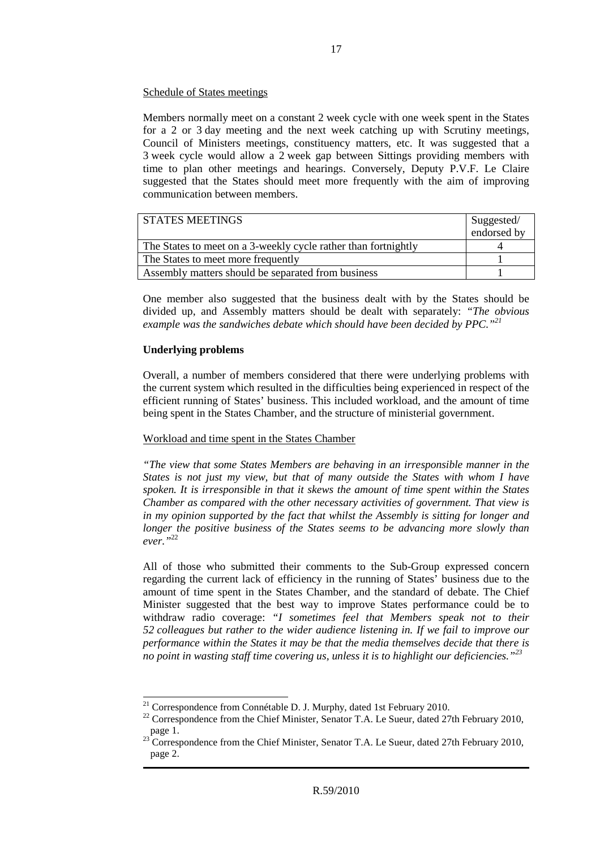# Schedule of States meetings

Members normally meet on a constant 2 week cycle with one week spent in the States for a 2 or 3 day meeting and the next week catching up with Scrutiny meetings, Council of Ministers meetings, constituency matters, etc. It was suggested that a 3 week cycle would allow a 2 week gap between Sittings providing members with time to plan other meetings and hearings. Conversely, Deputy P.V.F. Le Claire suggested that the States should meet more frequently with the aim of improving communication between members.

| I STATES MEETINGS                                              | Suggested/<br>endorsed by |
|----------------------------------------------------------------|---------------------------|
| The States to meet on a 3-weekly cycle rather than fortnightly |                           |
| The States to meet more frequently                             |                           |
| Assembly matters should be separated from business             |                           |

One member also suggested that the business dealt with by the States should be divided up, and Assembly matters should be dealt with separately: *"The obvious example was the sandwiches debate which should have been decided by PPC."<sup>21</sup>*

# **Underlying problems**

Overall, a number of members considered that there were underlying problems with the current system which resulted in the difficulties being experienced in respect of the efficient running of States' business. This included workload, and the amount of time being spent in the States Chamber, and the structure of ministerial government.

# Workload and time spent in the States Chamber

*"The view that some States Members are behaving in an irresponsible manner in the States is not just my view, but that of many outside the States with whom I have spoken. It is irresponsible in that it skews the amount of time spent within the States Chamber as compared with the other necessary activities of government. That view is in my opinion supported by the fact that whilst the Assembly is sitting for longer and longer the positive business of the States seems to be advancing more slowly than ever."*<sup>22</sup>

All of those who submitted their comments to the Sub-Group expressed concern regarding the current lack of efficiency in the running of States' business due to the amount of time spent in the States Chamber, and the standard of debate. The Chief Minister suggested that the best way to improve States performance could be to withdraw radio coverage: *"I sometimes feel that Members speak not to their 52 colleagues but rather to the wider audience listening in. If we fail to improve our performance within the States it may be that the media themselves decide that there is no point in wasting staff time covering us, unless it is to highlight our deficiencies."<sup>23</sup>*

 $\overline{a}$ <sup>21</sup> Correspondence from Connétable D. J. Murphy, dated 1st February 2010.

<sup>&</sup>lt;sup>22</sup> Correspondence from the Chief Minister, Senator T.A. Le Sueur, dated 27th February 2010, page 1.

 $^{23}$  Correspondence from the Chief Minister, Senator T.A. Le Sueur, dated 27th February 2010, page 2.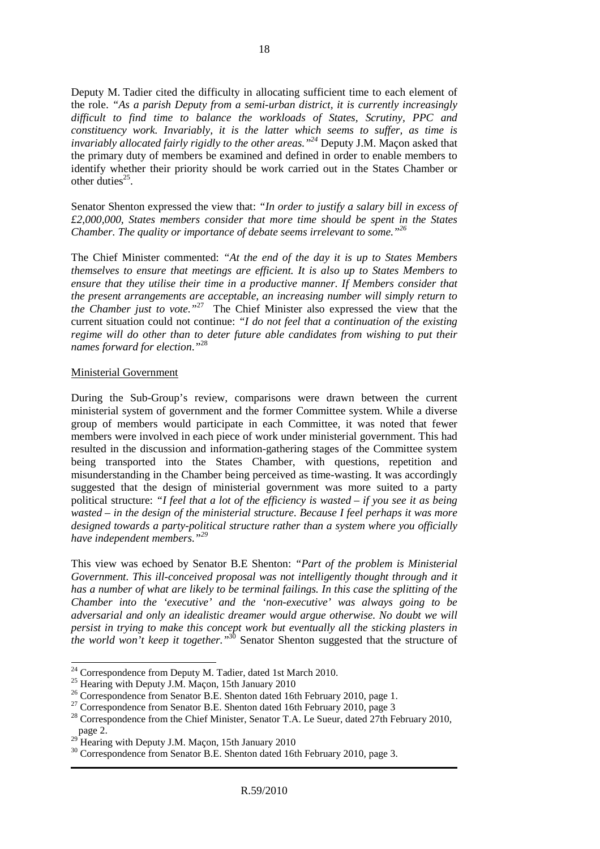Deputy M. Tadier cited the difficulty in allocating sufficient time to each element of the role. *"As a parish Deputy from a semi-urban district, it is currently increasingly difficult to find time to balance the workloads of States, Scrutiny, PPC and constituency work. Invariably, it is the latter which seems to suffer, as time is invariably allocated fairly rigidly to the other areas."<sup>24</sup>* Deputy J.M. Maçon asked that the primary duty of members be examined and defined in order to enable members to identify whether their priority should be work carried out in the States Chamber or other duties<sup>25</sup>.

Senator Shenton expressed the view that: *"In order to justify a salary bill in excess of £2,000,000, States members consider that more time should be spent in the States Chamber. The quality or importance of debate seems irrelevant to some."<sup>26</sup>*

The Chief Minister commented: *"At the end of the day it is up to States Members themselves to ensure that meetings are efficient. It is also up to States Members to ensure that they utilise their time in a productive manner. If Members consider that the present arrangements are acceptable, an increasing number will simply return to the Chamber just to vote."*<sup>27</sup> The Chief Minister also expressed the view that the current situation could not continue: *"I do not feel that a continuation of the existing regime will do other than to deter future able candidates from wishing to put their names forward for election*.*"* 28

#### Ministerial Government

 $\overline{a}$ 

During the Sub-Group's review, comparisons were drawn between the current ministerial system of government and the former Committee system. While a diverse group of members would participate in each Committee, it was noted that fewer members were involved in each piece of work under ministerial government. This had resulted in the discussion and information-gathering stages of the Committee system being transported into the States Chamber, with questions, repetition and misunderstanding in the Chamber being perceived as time-wasting. It was accordingly suggested that the design of ministerial government was more suited to a party political structure: *"I feel that a lot of the efficiency is wasted – if you see it as being wasted – in the design of the ministerial structure. Because I feel perhaps it was more designed towards a party-political structure rather than a system where you officially have independent members."<sup>29</sup>* 

This view was echoed by Senator B.E Shenton: *"Part of the problem is Ministerial Government. This ill-conceived proposal was not intelligently thought through and it has a number of what are likely to be terminal failings. In this case the splitting of the Chamber into the 'executive' and the 'non-executive' was always going to be adversarial and only an idealistic dreamer would argue otherwise. No doubt we will persist in trying to make this concept work but eventually all the sticking plasters in the world won't keep it together."*<sup>30</sup> Senator Shenton suggested that the structure of

 $24$  Correspondence from Deputy M. Tadier, dated 1st March 2010.

 $^{25}$  Hearing with Deputy J.M. Maçon, 15th January 2010

<sup>&</sup>lt;sup>26</sup> Correspondence from Senator B.E. Shenton dated 16th February 2010, page 1.

<sup>&</sup>lt;sup>27</sup> Correspondence from Senator B.E. Shenton dated 16th February 2010, page 3

<sup>&</sup>lt;sup>28</sup> Correspondence from the Chief Minister, Senator T.A. Le Sueur, dated 27th February 2010, page 2.

 $^{29}$  Hearing with Deputy J.M. Maçon, 15th January 2010

<sup>&</sup>lt;sup>30</sup> Correspondence from Senator B.E. Shenton dated 16th February 2010, page 3.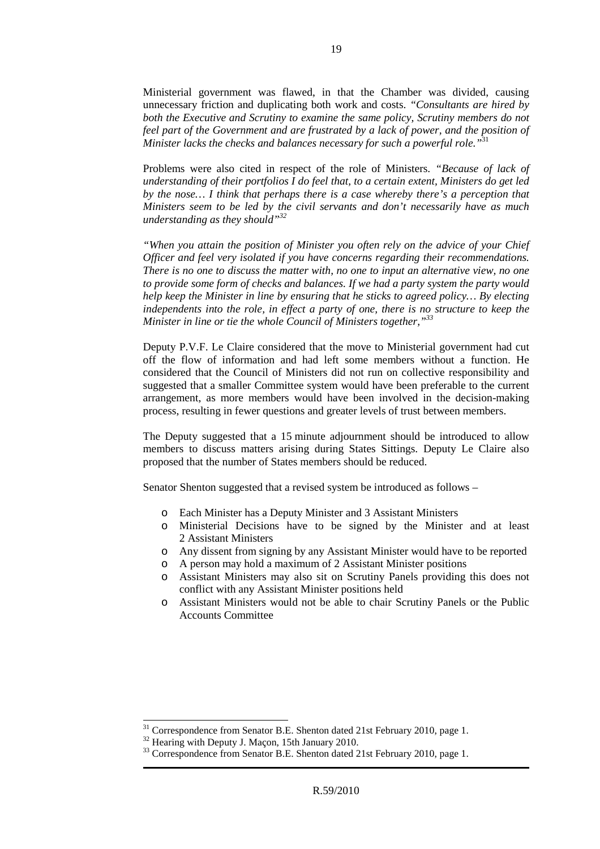Ministerial government was flawed, in that the Chamber was divided, causing unnecessary friction and duplicating both work and costs. *"Consultants are hired by both the Executive and Scrutiny to examine the same policy, Scrutiny members do not*  feel part of the Government and are frustrated by a lack of power, and the position of *Minister lacks the checks and balances necessary for such a powerful role."*<sup>31</sup>

Problems were also cited in respect of the role of Ministers. *"Because of lack of understanding of their portfolios I do feel that, to a certain extent, Ministers do get led by the nose… I think that perhaps there is a case whereby there's a perception that Ministers seem to be led by the civil servants and don't necessarily have as much understanding as they should"<sup>32</sup>*

*"When you attain the position of Minister you often rely on the advice of your Chief Officer and feel very isolated if you have concerns regarding their recommendations. There is no one to discuss the matter with, no one to input an alternative view, no one to provide some form of checks and balances. If we had a party system the party would help keep the Minister in line by ensuring that he sticks to agreed policy… By electing independents into the role, in effect a party of one, there is no structure to keep the Minister in line or tie the whole Council of Ministers together,"<sup>33</sup>*

Deputy P.V.F. Le Claire considered that the move to Ministerial government had cut off the flow of information and had left some members without a function. He considered that the Council of Ministers did not run on collective responsibility and suggested that a smaller Committee system would have been preferable to the current arrangement, as more members would have been involved in the decision-making process, resulting in fewer questions and greater levels of trust between members.

The Deputy suggested that a 15 minute adjournment should be introduced to allow members to discuss matters arising during States Sittings. Deputy Le Claire also proposed that the number of States members should be reduced.

Senator Shenton suggested that a revised system be introduced as follows –

- o Each Minister has a Deputy Minister and 3 Assistant Ministers
- o Ministerial Decisions have to be signed by the Minister and at least 2 Assistant Ministers
- o Any dissent from signing by any Assistant Minister would have to be reported
- o A person may hold a maximum of 2 Assistant Minister positions
- o Assistant Ministers may also sit on Scrutiny Panels providing this does not conflict with any Assistant Minister positions held
- o Assistant Ministers would not be able to chair Scrutiny Panels or the Public Accounts Committee

 $\overline{a}$ 

<sup>&</sup>lt;sup>31</sup> Correspondence from Senator B.E. Shenton dated 21st February 2010, page 1.

<sup>&</sup>lt;sup>32</sup> Hearing with Deputy J. Maçon, 15th January 2010.

<sup>&</sup>lt;sup>33</sup> Correspondence from Senator B.E. Shenton dated 21st February 2010, page 1.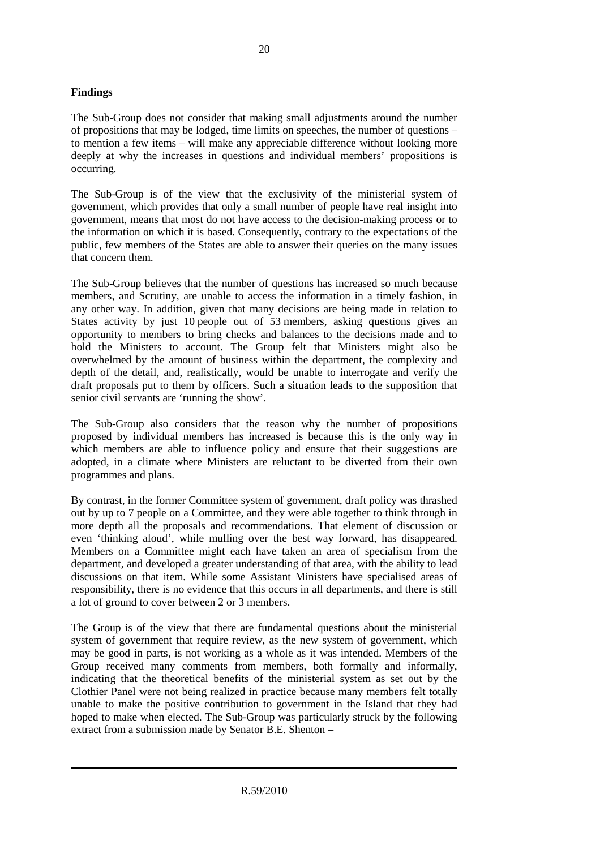# **Findings**

The Sub-Group does not consider that making small adjustments around the number of propositions that may be lodged, time limits on speeches, the number of questions – to mention a few items – will make any appreciable difference without looking more deeply at why the increases in questions and individual members' propositions is occurring.

The Sub-Group is of the view that the exclusivity of the ministerial system of government, which provides that only a small number of people have real insight into government, means that most do not have access to the decision-making process or to the information on which it is based. Consequently, contrary to the expectations of the public, few members of the States are able to answer their queries on the many issues that concern them.

The Sub-Group believes that the number of questions has increased so much because members, and Scrutiny, are unable to access the information in a timely fashion, in any other way. In addition, given that many decisions are being made in relation to States activity by just 10 people out of 53 members, asking questions gives an opportunity to members to bring checks and balances to the decisions made and to hold the Ministers to account. The Group felt that Ministers might also be overwhelmed by the amount of business within the department, the complexity and depth of the detail, and, realistically, would be unable to interrogate and verify the draft proposals put to them by officers. Such a situation leads to the supposition that senior civil servants are 'running the show'.

The Sub-Group also considers that the reason why the number of propositions proposed by individual members has increased is because this is the only way in which members are able to influence policy and ensure that their suggestions are adopted, in a climate where Ministers are reluctant to be diverted from their own programmes and plans.

By contrast, in the former Committee system of government, draft policy was thrashed out by up to 7 people on a Committee, and they were able together to think through in more depth all the proposals and recommendations. That element of discussion or even 'thinking aloud', while mulling over the best way forward, has disappeared. Members on a Committee might each have taken an area of specialism from the department, and developed a greater understanding of that area, with the ability to lead discussions on that item. While some Assistant Ministers have specialised areas of responsibility, there is no evidence that this occurs in all departments, and there is still a lot of ground to cover between 2 or 3 members.

The Group is of the view that there are fundamental questions about the ministerial system of government that require review, as the new system of government, which may be good in parts, is not working as a whole as it was intended. Members of the Group received many comments from members, both formally and informally, indicating that the theoretical benefits of the ministerial system as set out by the Clothier Panel were not being realized in practice because many members felt totally unable to make the positive contribution to government in the Island that they had hoped to make when elected. The Sub-Group was particularly struck by the following extract from a submission made by Senator B.E. Shenton –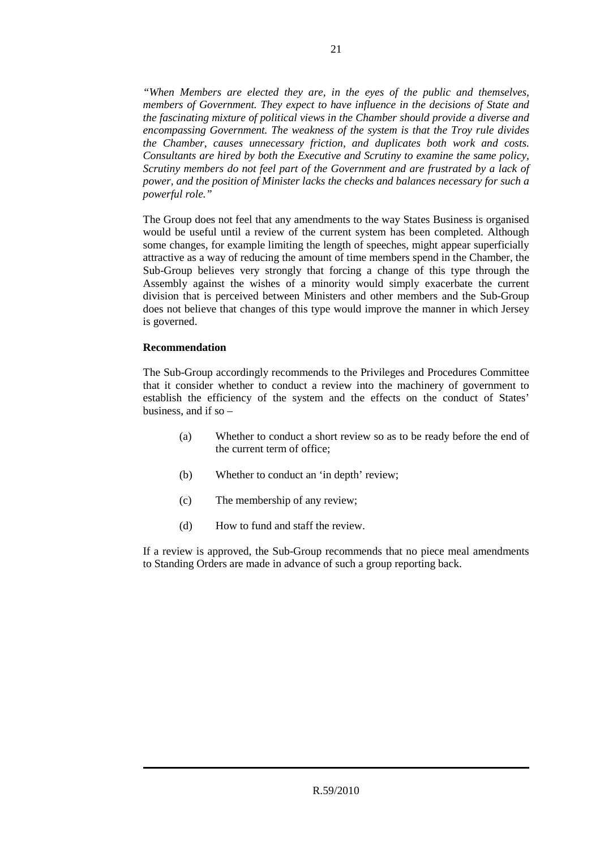*"When Members are elected they are, in the eyes of the public and themselves, members of Government. They expect to have influence in the decisions of State and the fascinating mixture of political views in the Chamber should provide a diverse and encompassing Government. The weakness of the system is that the Troy rule divides the Chamber, causes unnecessary friction, and duplicates both work and costs. Consultants are hired by both the Executive and Scrutiny to examine the same policy, Scrutiny members do not feel part of the Government and are frustrated by a lack of power, and the position of Minister lacks the checks and balances necessary for such a powerful role."* 

The Group does not feel that any amendments to the way States Business is organised would be useful until a review of the current system has been completed. Although some changes, for example limiting the length of speeches, might appear superficially attractive as a way of reducing the amount of time members spend in the Chamber, the Sub-Group believes very strongly that forcing a change of this type through the Assembly against the wishes of a minority would simply exacerbate the current division that is perceived between Ministers and other members and the Sub-Group does not believe that changes of this type would improve the manner in which Jersey is governed.

# **Recommendation**

The Sub-Group accordingly recommends to the Privileges and Procedures Committee that it consider whether to conduct a review into the machinery of government to establish the efficiency of the system and the effects on the conduct of States' business, and if so  $-$ 

- (a) Whether to conduct a short review so as to be ready before the end of the current term of office;
- (b) Whether to conduct an 'in depth' review;
- (c) The membership of any review;
- (d) How to fund and staff the review.

If a review is approved, the Sub-Group recommends that no piece meal amendments to Standing Orders are made in advance of such a group reporting back.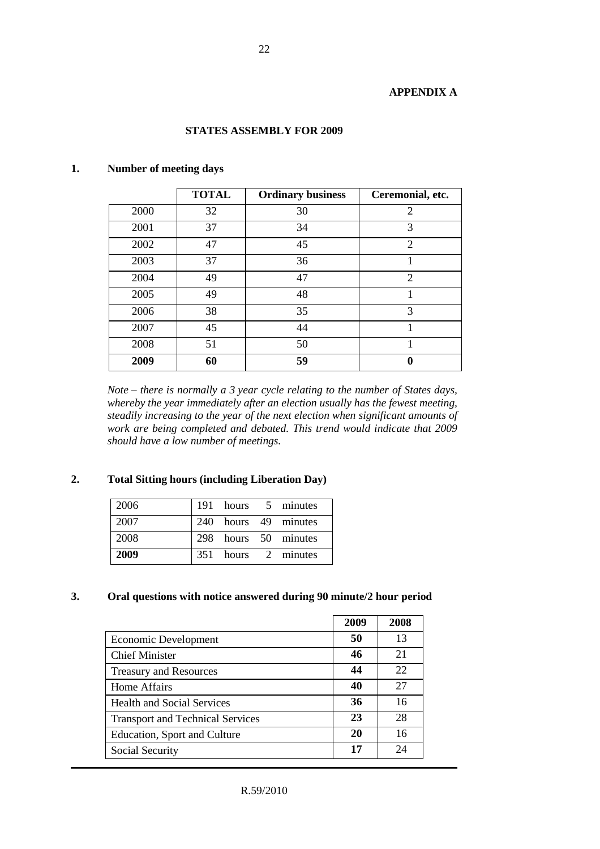# **APPENDIX A**

# **STATES ASSEMBLY FOR 2009**

|      | <b>TOTAL</b> | <b>Ordinary business</b> | Ceremonial, etc. |
|------|--------------|--------------------------|------------------|
| 2000 | 32           | 30                       | $\overline{2}$   |
| 2001 | 37           | 34                       | 3                |
| 2002 | 47           | 45                       | $\overline{2}$   |
| 2003 | 37           | 36                       |                  |
| 2004 | 49           | 47                       | $\overline{2}$   |
| 2005 | 49           | 48                       |                  |
| 2006 | 38           | 35                       | 3                |
| 2007 | 45           | 44                       |                  |
| 2008 | 51           | 50                       |                  |
| 2009 | 60           | 59                       |                  |

# **1. Number of meeting days**

 *Note – there is normally a 3 year cycle relating to the number of States days, whereby the year immediately after an election usually has the fewest meeting, steadily increasing to the year of the next election when significant amounts of work are being completed and debated. This trend would indicate that 2009 should have a low number of meetings.* 

# **2. Total Sitting hours (including Liberation Day)**

| 2006 |  | 191 hours 5 minutes  |
|------|--|----------------------|
| 2007 |  | 240 hours 49 minutes |
| 2008 |  | 298 hours 50 minutes |
| 2009 |  | 351 hours 2 minutes  |

# **3. Oral questions with notice answered during 90 minute/2 hour period**

|                                         | 2009 | 2008 |
|-----------------------------------------|------|------|
| Economic Development                    | 50   | 13   |
| <b>Chief Minister</b>                   | 46   | 21   |
| <b>Treasury and Resources</b>           | 44   | 22   |
| Home Affairs                            | 40   | 27   |
| <b>Health and Social Services</b>       | 36   | 16   |
| <b>Transport and Technical Services</b> | 23   | 28   |
| Education, Sport and Culture            | 20   | 16   |
| Social Security                         | 17   | 24   |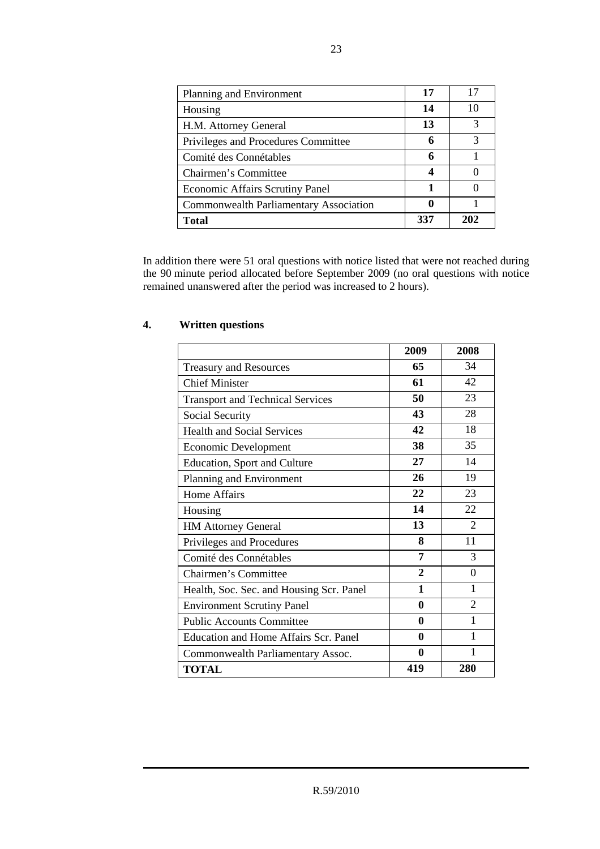| Planning and Environment                      | 17  | 17            |
|-----------------------------------------------|-----|---------------|
| Housing                                       | 14  | 10            |
| H.M. Attorney General                         | 13  | $\mathcal{R}$ |
| Privileges and Procedures Committee           | 6   | $\mathcal{R}$ |
| Comité des Connétables                        | 6   |               |
| Chairmen's Committee                          |     |               |
| <b>Economic Affairs Scrutiny Panel</b>        | 1   |               |
| <b>Commonwealth Parliamentary Association</b> | 0   |               |
| Total                                         | 337 | 202           |

In addition there were 51 oral questions with notice listed that were not reached during the 90 minute period allocated before September 2009 (no oral questions with notice remained unanswered after the period was increased to 2 hours).

|                                          | 2009           | 2008                        |
|------------------------------------------|----------------|-----------------------------|
| <b>Treasury and Resources</b>            | 65             | 34                          |
| <b>Chief Minister</b>                    | 61             | 42                          |
| <b>Transport and Technical Services</b>  | 50             | 23                          |
| Social Security                          | 43             | 28                          |
| <b>Health and Social Services</b>        | 42             | 18                          |
| <b>Economic Development</b>              | 38             | 35                          |
| <b>Education, Sport and Culture</b>      | 27             | 14                          |
| Planning and Environment                 | 26             | 19                          |
| <b>Home Affairs</b>                      | 22             | 23                          |
| Housing                                  | 14             | 22                          |
| <b>HM Attorney General</b>               | 13             | $\mathcal{D}_{\mathcal{L}}$ |
| Privileges and Procedures                | 8              | 11                          |
| Comité des Connétables                   | 7              | 3                           |
| Chairmen's Committee                     | $\overline{2}$ | $\theta$                    |
| Health, Soc. Sec. and Housing Scr. Panel | 1              | 1                           |
| <b>Environment Scrutiny Panel</b>        | $\mathbf{0}$   | 2                           |
| <b>Public Accounts Committee</b>         | $\mathbf{0}$   | 1                           |
| Education and Home Affairs Scr. Panel    | $\mathbf{0}$   | 1                           |
| Commonwealth Parliamentary Assoc.        | 0              | 1                           |
| <b>TOTAL</b>                             | 419            | 280                         |

# **4. Written questions**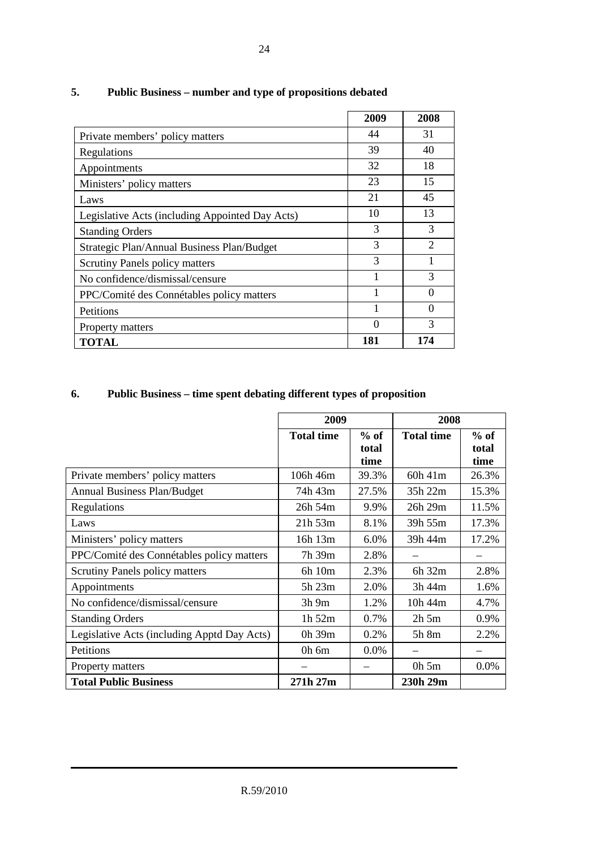|                                                 | 2009 | 2008                        |
|-------------------------------------------------|------|-----------------------------|
| Private members' policy matters                 | 44   | 31                          |
| Regulations                                     | 39   | 40                          |
| Appointments                                    | 32   | 18                          |
| Ministers' policy matters                       | 23   | 15                          |
| Laws                                            | 21   | 45                          |
| Legislative Acts (including Appointed Day Acts) | 10   | 13                          |
| <b>Standing Orders</b>                          | 3    | 3                           |
| Strategic Plan/Annual Business Plan/Budget      | 3    | $\mathcal{D}_{\mathcal{L}}$ |
| <b>Scrutiny Panels policy matters</b>           | 3    |                             |
| No confidence/dismissal/censure                 |      | 3                           |
| PPC/Comité des Connétables policy matters       | 1    | $\Omega$                    |
| <b>Petitions</b>                                |      | 0                           |
| Property matters                                |      | 3                           |
| TOTAL                                           | 181  | 174                         |

# **5. Public Business – number and type of propositions debated**

# **6. Public Business – time spent debating different types of proposition**

|                                             | 2009              |                         | 2008              |                         |
|---------------------------------------------|-------------------|-------------------------|-------------------|-------------------------|
|                                             | <b>Total time</b> | $%$ of<br>total<br>time | <b>Total time</b> | $%$ of<br>total<br>time |
| Private members' policy matters             | $106h$ 46m        | 39.3%                   | $60h$ 41m         | 26.3%                   |
| <b>Annual Business Plan/Budget</b>          | 74h 43m           | 27.5%                   | 35h 22m           | 15.3%                   |
| Regulations                                 | $26h$ 54m         | 9.9%                    | 26h 29m           | 11.5%                   |
| Laws                                        | $21h\,53m$        | 8.1%                    | 39h 55m           | 17.3%                   |
| Ministers' policy matters                   | 16h 13m           | 6.0%                    | 39h 44m           | 17.2%                   |
| PPC/Comité des Connétables policy matters   | 7h 39m            | 2.8%                    |                   |                         |
| <b>Scrutiny Panels policy matters</b>       | 6h 10m            | 2.3%                    | 6h 32m            | 2.8%                    |
| Appointments                                | 5h 23m            | 2.0%                    | 3h 44m            | 1.6%                    |
| No confidence/dismissal/censure             | 3h 9m             | 1.2%                    | 10h 44m           | 4.7%                    |
| <b>Standing Orders</b>                      | 1h 52m            | 0.7%                    | $2h$ 5m           | 0.9%                    |
| Legislative Acts (including Apptd Day Acts) | $0h$ 39 $m$       | 0.2%                    | 5h 8m             | 2.2%                    |
| Petitions                                   | $0h$ 6m           | $0.0\%$                 |                   |                         |
| Property matters                            |                   |                         | $0h\,5m$          | 0.0%                    |
| <b>Total Public Business</b>                | 271h 27m          |                         | 230h 29m          |                         |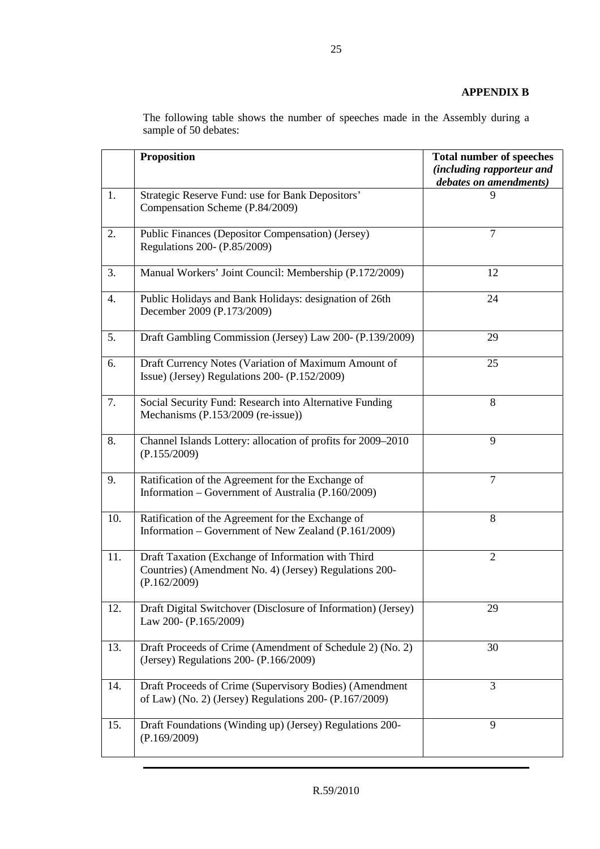# **APPENDIX B**

|     | <b>Proposition</b>                                                                                                           | <b>Total number of speeches</b><br><i>(including rapporteur and</i><br>debates on amendments) |
|-----|------------------------------------------------------------------------------------------------------------------------------|-----------------------------------------------------------------------------------------------|
| 1.  | Strategic Reserve Fund: use for Bank Depositors'<br>Compensation Scheme (P.84/2009)                                          | 9                                                                                             |
| 2.  | Public Finances (Depositor Compensation) (Jersey)<br>Regulations 200- (P.85/2009)                                            | 7                                                                                             |
| 3.  | Manual Workers' Joint Council: Membership (P.172/2009)                                                                       | 12                                                                                            |
| 4.  | Public Holidays and Bank Holidays: designation of 26th<br>December 2009 (P.173/2009)                                         | 24                                                                                            |
| 5.  | Draft Gambling Commission (Jersey) Law 200- (P.139/2009)                                                                     | 29                                                                                            |
| 6.  | Draft Currency Notes (Variation of Maximum Amount of<br>Issue) (Jersey) Regulations 200- (P.152/2009)                        | 25                                                                                            |
| 7.  | Social Security Fund: Research into Alternative Funding<br>Mechanisms (P.153/2009 (re-issue))                                | 8                                                                                             |
| 8.  | Channel Islands Lottery: allocation of profits for 2009-2010<br>(P.155/2009)                                                 | 9                                                                                             |
| 9.  | Ratification of the Agreement for the Exchange of<br>Information – Government of Australia (P.160/2009)                      | $\overline{7}$                                                                                |
| 10. | Ratification of the Agreement for the Exchange of<br>Information – Government of New Zealand (P.161/2009)                    | 8                                                                                             |
| 11. | Draft Taxation (Exchange of Information with Third<br>Countries) (Amendment No. 4) (Jersey) Regulations 200-<br>(P.162/2009) | $\overline{2}$                                                                                |
| 12. | Draft Digital Switchover (Disclosure of Information) (Jersey)<br>Law 200- (P.165/2009)                                       | 29                                                                                            |
| 13. | Draft Proceeds of Crime (Amendment of Schedule 2) (No. 2)<br>(Jersey) Regulations 200- (P.166/2009)                          | 30                                                                                            |
| 14. | Draft Proceeds of Crime (Supervisory Bodies) (Amendment<br>of Law) (No. 2) (Jersey) Regulations 200- (P.167/2009)            | 3                                                                                             |
| 15. | Draft Foundations (Winding up) (Jersey) Regulations 200-<br>(P.169/2009)                                                     | 9                                                                                             |

The following table shows the number of speeches made in the Assembly during a sample of 50 debates: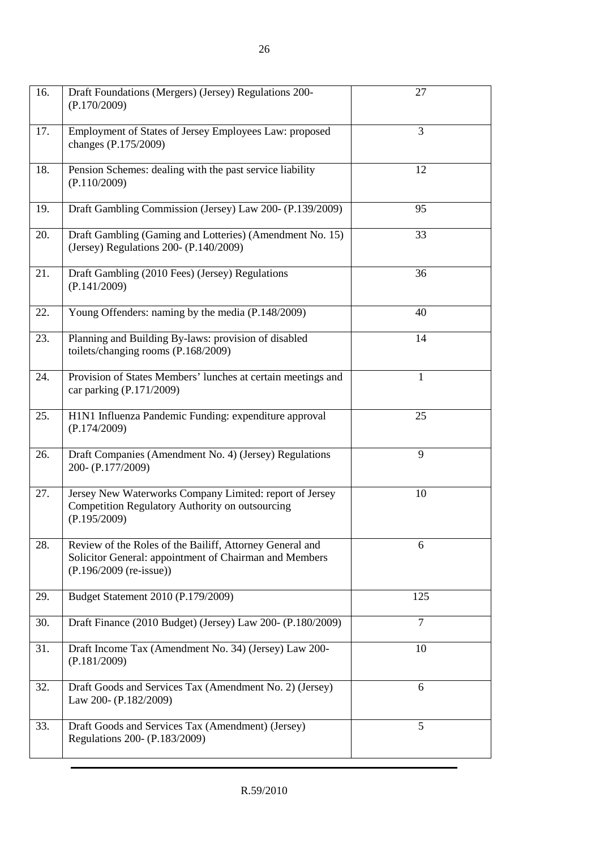| 16. | Draft Foundations (Mergers) (Jersey) Regulations 200-<br>(P.170/2009)                                                                           | 27             |
|-----|-------------------------------------------------------------------------------------------------------------------------------------------------|----------------|
| 17. | Employment of States of Jersey Employees Law: proposed<br>changes (P.175/2009)                                                                  | 3              |
| 18. | Pension Schemes: dealing with the past service liability<br>(P.110/2009)                                                                        | 12             |
| 19. | Draft Gambling Commission (Jersey) Law 200- (P.139/2009)                                                                                        | 95             |
| 20. | Draft Gambling (Gaming and Lotteries) (Amendment No. 15)<br>(Jersey) Regulations 200- (P.140/2009)                                              | 33             |
| 21. | Draft Gambling (2010 Fees) (Jersey) Regulations<br>(P.141/2009)                                                                                 | 36             |
| 22. | Young Offenders: naming by the media (P.148/2009)                                                                                               | 40             |
| 23. | Planning and Building By-laws: provision of disabled<br>toilets/changing rooms (P.168/2009)                                                     | 14             |
| 24. | Provision of States Members' lunches at certain meetings and<br>car parking (P.171/2009)                                                        | $\mathbf{1}$   |
| 25. | H1N1 Influenza Pandemic Funding: expenditure approval<br>(P.174/2009)                                                                           | 25             |
| 26. | Draft Companies (Amendment No. 4) (Jersey) Regulations<br>200-(P.177/2009)                                                                      | 9              |
| 27. | Jersey New Waterworks Company Limited: report of Jersey<br>Competition Regulatory Authority on outsourcing<br>(P.195/2009)                      | 10             |
| 28. | Review of the Roles of the Bailiff, Attorney General and<br>Solicitor General: appointment of Chairman and Members<br>$(P.196/2009$ (re-issue)) | 6              |
| 29. | Budget Statement 2010 (P.179/2009)                                                                                                              | 125            |
| 30. | Draft Finance (2010 Budget) (Jersey) Law 200- (P.180/2009)                                                                                      | $\overline{7}$ |
| 31. | Draft Income Tax (Amendment No. 34) (Jersey) Law 200-<br>(P.181/2009)                                                                           | 10             |
| 32. | Draft Goods and Services Tax (Amendment No. 2) (Jersey)<br>Law 200- (P.182/2009)                                                                | 6              |
| 33. | Draft Goods and Services Tax (Amendment) (Jersey)<br>Regulations 200- (P.183/2009)                                                              | 5              |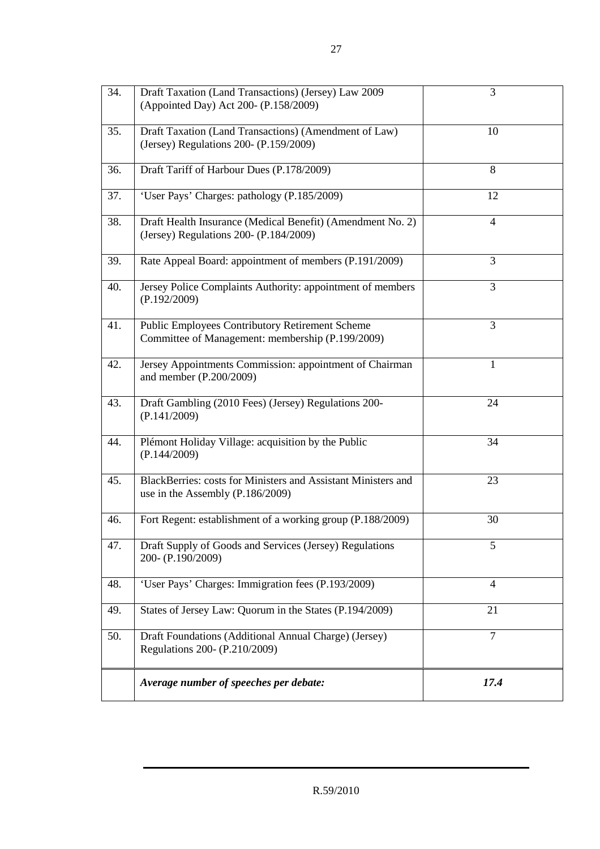| $\overline{3}4.$ | Draft Taxation (Land Transactions) (Jersey) Law 2009<br>(Appointed Day) Act 200- (P.158/2009)              | 3              |
|------------------|------------------------------------------------------------------------------------------------------------|----------------|
| 35.              | Draft Taxation (Land Transactions) (Amendment of Law)<br>(Jersey) Regulations 200- (P.159/2009)            | 10             |
| 36.              | Draft Tariff of Harbour Dues (P.178/2009)                                                                  | 8              |
| 37.              | 'User Pays' Charges: pathology (P.185/2009)                                                                | 12             |
| 38.              | Draft Health Insurance (Medical Benefit) (Amendment No. 2)<br>(Jersey) Regulations 200- (P.184/2009)       | $\overline{4}$ |
| 39.              | Rate Appeal Board: appointment of members (P.191/2009)                                                     | 3              |
| 40.              | Jersey Police Complaints Authority: appointment of members<br>(P.192/2009)                                 | 3              |
| 41.              | <b>Public Employees Contributory Retirement Scheme</b><br>Committee of Management: membership (P.199/2009) | 3              |
| 42.              | Jersey Appointments Commission: appointment of Chairman<br>and member (P.200/2009)                         | $\mathbf{1}$   |
| 43.              | Draft Gambling (2010 Fees) (Jersey) Regulations 200-<br>(P.141/2009)                                       | 24             |
| 44.              | Plémont Holiday Village: acquisition by the Public<br>(P.144/2009)                                         | 34             |
| 45.              | BlackBerries: costs for Ministers and Assistant Ministers and<br>use in the Assembly $(P.186/2009)$        | 23             |
| 46.              | Fort Regent: establishment of a working group (P.188/2009)                                                 | 30             |
| 47.              | Draft Supply of Goods and Services (Jersey) Regulations<br>200-(P.190/2009)                                | 5              |
| 48.              | 'User Pays' Charges: Immigration fees (P.193/2009)                                                         | $\overline{4}$ |
| 49.              | States of Jersey Law: Quorum in the States (P.194/2009)                                                    | 21             |
| 50.              | Draft Foundations (Additional Annual Charge) (Jersey)<br>Regulations 200- (P.210/2009)                     | $\overline{7}$ |
|                  | Average number of speeches per debate:                                                                     | 17.4           |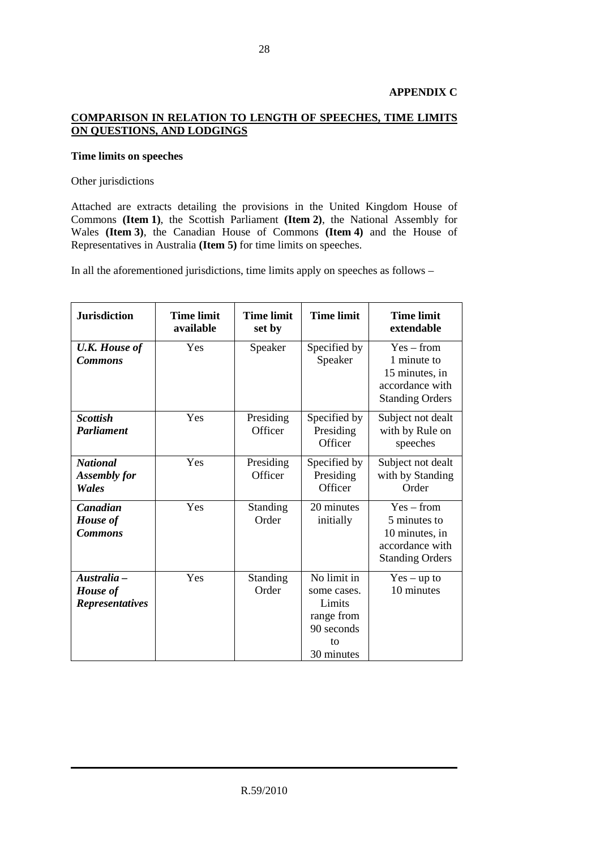# **APPENDIX C**

# **COMPARISON IN RELATION TO LENGTH OF SPEECHES, TIME LIMITS ON QUESTIONS, AND LODGINGS**

# **Time limits on speeches**

#### Other jurisdictions

Attached are extracts detailing the provisions in the United Kingdom House of Commons **(Item 1)**, the Scottish Parliament **(Item 2)**, the National Assembly for Wales **(Item 3)**, the Canadian House of Commons **(Item 4)** and the House of Representatives in Australia **(Item 5)** for time limits on speeches.

In all the aforementioned jurisdictions, time limits apply on speeches as follows –

| <b>Jurisdiction</b>                               | <b>Time limit</b><br>available | <b>Time limit</b><br>set by | <b>Time limit</b>                                                                    | <b>Time limit</b><br>extendable                                                             |
|---------------------------------------------------|--------------------------------|-----------------------------|--------------------------------------------------------------------------------------|---------------------------------------------------------------------------------------------|
| <b>U.K. House of</b><br><b>Commons</b>            | Yes                            | Speaker                     | Specified by<br>Speaker                                                              | $Yes - from$<br>1 minute to<br>15 minutes, in<br>accordance with<br><b>Standing Orders</b>  |
| <b>Scottish</b><br><b>Parliament</b>              | Yes                            | Presiding<br>Officer        | Specified by<br>Presiding<br>Officer                                                 | Subject not dealt<br>with by Rule on<br>speeches                                            |
| <b>National</b><br><b>Assembly for</b><br>Wales   | Yes                            | Presiding<br>Officer        | Specified by<br>Presiding<br>Officer                                                 | Subject not dealt<br>with by Standing<br>Order                                              |
| Canadian<br><b>House</b> of<br><b>Commons</b>     | Yes                            | Standing<br>Order           | 20 minutes<br>initially                                                              | $Yes - from$<br>5 minutes to<br>10 minutes, in<br>accordance with<br><b>Standing Orders</b> |
| Australia -<br>House of<br><b>Representatives</b> | Yes                            | Standing<br>Order           | No limit in<br>some cases.<br>Limits<br>range from<br>90 seconds<br>tΩ<br>30 minutes | $Yes - up to$<br>10 minutes                                                                 |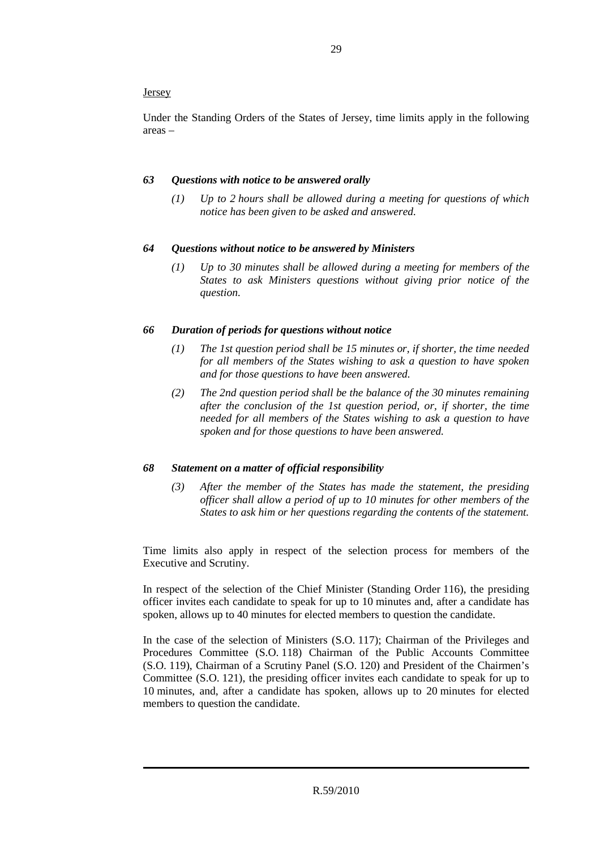# **Jersey**

Under the Standing Orders of the States of Jersey, time limits apply in the following areas –

# *63 Questions with notice to be answered orally*

*(1) Up to 2 hours shall be allowed during a meeting for questions of which notice has been given to be asked and answered.* 

# *64 Questions without notice to be answered by Ministers*

*(1) Up to 30 minutes shall be allowed during a meeting for members of the States to ask Ministers questions without giving prior notice of the question.* 

# *66 Duration of periods for questions without notice*

- *(1) The 1st question period shall be 15 minutes or, if shorter, the time needed for all members of the States wishing to ask a question to have spoken and for those questions to have been answered.*
- *(2) The 2nd question period shall be the balance of the 30 minutes remaining after the conclusion of the 1st question period, or, if shorter, the time needed for all members of the States wishing to ask a question to have spoken and for those questions to have been answered.*

# *68 Statement on a matter of official responsibility*

*(3) After the member of the States has made the statement, the presiding officer shall allow a period of up to 10 minutes for other members of the States to ask him or her questions regarding the contents of the statement.* 

Time limits also apply in respect of the selection process for members of the Executive and Scrutiny.

In respect of the selection of the Chief Minister (Standing Order 116), the presiding officer invites each candidate to speak for up to 10 minutes and, after a candidate has spoken, allows up to 40 minutes for elected members to question the candidate.

In the case of the selection of Ministers (S.O. 117); Chairman of the Privileges and Procedures Committee (S.O. 118) Chairman of the Public Accounts Committee (S.O. 119), Chairman of a Scrutiny Panel (S.O. 120) and President of the Chairmen's Committee (S.O. 121), the presiding officer invites each candidate to speak for up to 10 minutes, and, after a candidate has spoken, allows up to 20 minutes for elected members to question the candidate.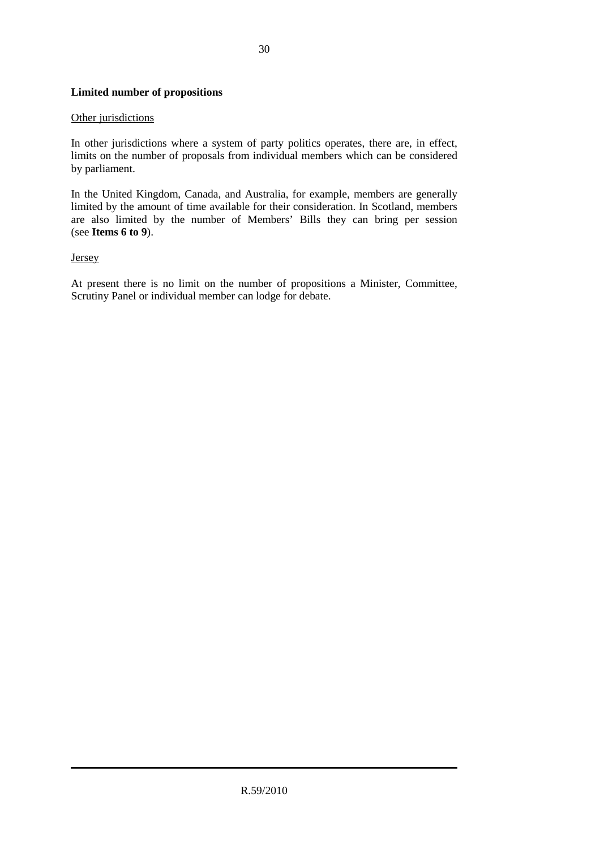# **Limited number of propositions**

# Other jurisdictions

In other jurisdictions where a system of party politics operates, there are, in effect, limits on the number of proposals from individual members which can be considered by parliament.

In the United Kingdom, Canada, and Australia, for example, members are generally limited by the amount of time available for their consideration. In Scotland, members are also limited by the number of Members' Bills they can bring per session (see **Items 6 to 9**).

# **Jersey**

At present there is no limit on the number of propositions a Minister, Committee, Scrutiny Panel or individual member can lodge for debate.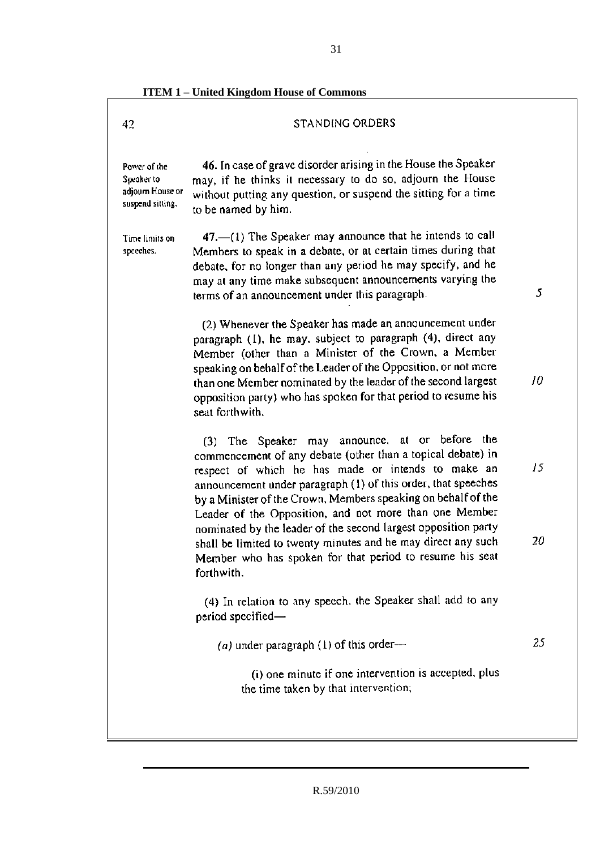**ITEM 1 – United Kingdom House of Commons** 

# **STANDING ORDERS**

Power of the Soeaker to adjourn House or suspend sitting.

42

46. In case of grave disorder arising in the House the Speaker may, if he thinks it necessary to do so, adjourn the House without putting any question, or suspend the sitting for a time to be named by him.

Time limits on speeches.

47. (1) The Speaker may announce that he intends to call Members to speak in a debate, or at certain times during that debate, for no longer than any period he may specify, and he may at any time make subsequent announcements varying the terms of an announcement under this paragraph.

(2) Whenever the Speaker has made an announcement under paragraph  $(1)$ , he may, subject to paragraph  $(4)$ , direct any Member (other than a Minister of the Crown, a Member speaking on behalf of the Leader of the Opposition, or not more than one Member nominated by the leader of the second largest opposition party) who has spoken for that period to resume his seat forthwith.

(3) The Speaker may announce, at or before the commencement of any debate (other than a topical debate) in respect of which he has made or intends to make an announcement under paragraph (1) of this order, that speeches by a Minister of the Crown, Members speaking on behalf of the Leader of the Opposition, and not more than one Member nominated by the leader of the second largest opposition party shall be limited to twenty minutes and he may direct any such Member who has spoken for that period to resume his seat forthwith.

(4) In relation to any speech, the Speaker shall add to any period specified-

25 (a) under paragraph (1) of this order-

(i) one minute if one intervention is accepted, plus the time taken by that intervention;

5

10

20

15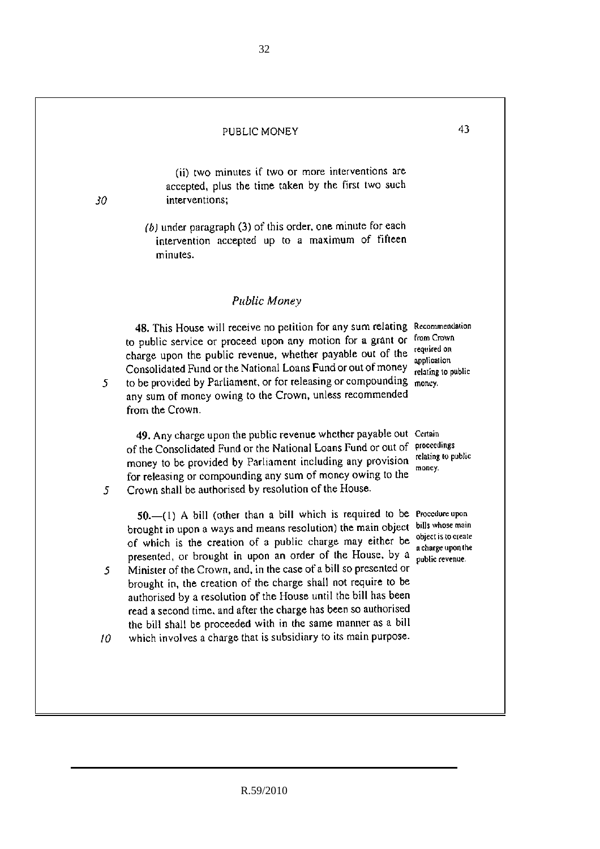#### PUBLIC MONEY

30

5

5

 $\mathfrak{S}$ 

(ii) two minutes if two or more interventions are accepted, plus the time taken by the first two such interventions:

 $(b)$  under paragraph (3) of this order, one minute for each intervention accepted up to a maximum of fifteen minutes.

# Public Money

48. This House will receive no petition for any sum relating Recommendation to public service or proceed upon any motion for a grant or from Crown charge upon the public revenue, whether payable out of the required on Consolidated Fund or the National Loans Fund or out of money to be provided by Parliament, or for releasing or compounding money. any sum of money owing to the Crown, unless recommended from the Crown.

49. Any charge upon the public revenue whether payable out Certain of the Consolidated Fund or the National Loans Fund or out of proceedings money to be provided by Parliament including any provision for releasing or compounding any sum of money owing to the Crown shall be authorised by resolution of the House.

50. (1) A bill (other than a bill which is required to be Procedure upon brought in upon a ways and means resolution) the main object of which is the creation of a public charge may either be presented, or brought in upon an order of the House, by a Minister of the Crown, and, in the case of a bill so presented or brought in, the creation of the charge shall not require to be authorised by a resolution of the House until the bill has been read a second time, and after the charge has been so authorised the bill shall be proceeded with in the same manner as a bill

which involves a charge that is subsidiary to its main purpose.  $10<sup>°</sup>$ 

R.59/2010

application relating to public

relating to public money.

bills whose main object is to create a charge upon the oublic revenue.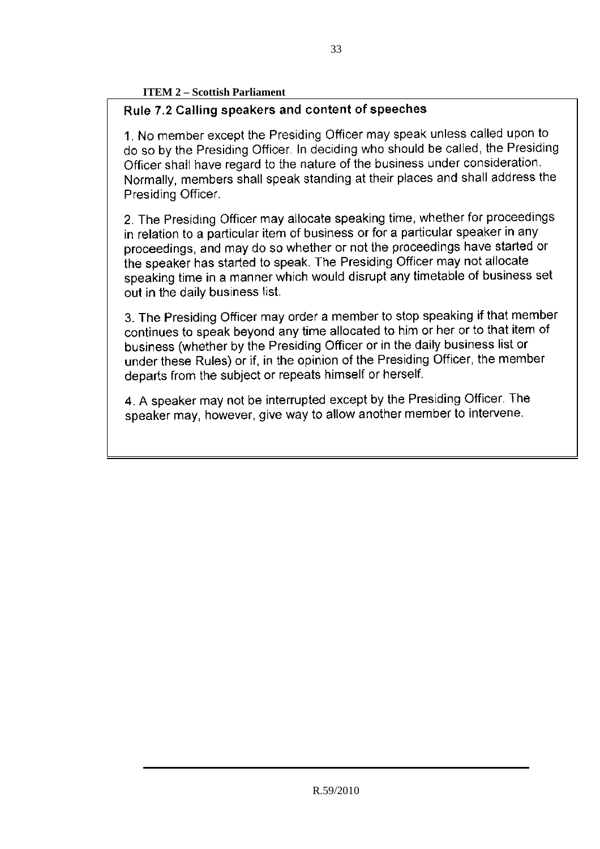# **ITEM 2 – Scottish Parliament**

# Rule 7.2 Calling speakers and content of speeches

1. No member except the Presiding Officer may speak unless called upon to do so by the Presiding Officer. In deciding who should be called, the Presiding Officer shall have regard to the nature of the business under consideration. Normally, members shall speak standing at their places and shall address the Presiding Officer.

2. The Presiding Officer may allocate speaking time, whether for proceedings in relation to a particular item of business or for a particular speaker in any proceedings, and may do so whether or not the proceedings have started or the speaker has started to speak. The Presiding Officer may not allocate speaking time in a manner which would disrupt any timetable of business set out in the daily business list.

3. The Presiding Officer may order a member to stop speaking if that member continues to speak beyond any time allocated to him or her or to that item of business (whether by the Presiding Officer or in the daily business list or under these Rules) or if, in the opinion of the Presiding Officer, the member departs from the subject or repeats himself or herself.

4. A speaker may not be interrupted except by the Presiding Officer. The speaker may, however, give way to allow another member to intervene.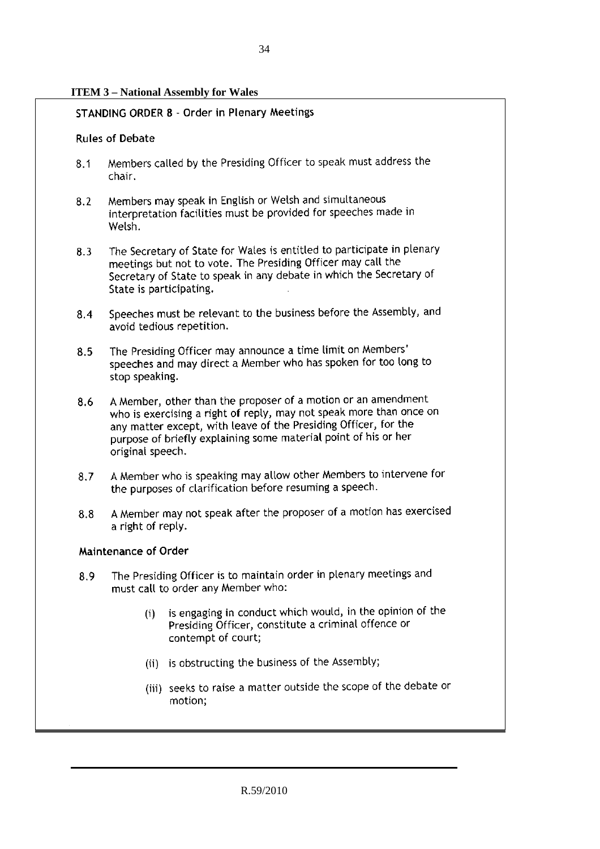# **ITEM 3 – National Assembly for Wales**

# **STANDING ORDER 8 - Order in Plenary Meetings**

# **Rules of Debate**

- Members called by the Presiding Officer to speak must address the  $8.1$ chair.
- Members may speak in English or Welsh and simultaneous  $8.2$ interpretation facilities must be provided for speeches made in Welsh.
- The Secretary of State for Wales is entitled to participate in plenary  $8.3$ meetings but not to vote. The Presiding Officer may call the Secretary of State to speak in any debate in which the Secretary of State is participating.
- Speeches must be relevant to the business before the Assembly, and  $8.4$ avoid tedious repetition.
- The Presiding Officer may announce a time limit on Members' 8.5 speeches and may direct a Member who has spoken for too long to stop speaking.
- A Member, other than the proposer of a motion or an amendment 8.6 who is exercising a right of reply, may not speak more than once on any matter except, with leave of the Presiding Officer, for the purpose of briefly explaining some material point of his or her original speech.
- A Member who is speaking may allow other Members to intervene for  $8.7$ the purposes of clarification before resuming a speech.
- A Member may not speak after the proposer of a motion has exercised 8.8 a right of reply.

## Maintenance of Order

- The Presiding Officer is to maintain order in plenary meetings and 8.9 must call to order any Member who:
	- is engaging in conduct which would, in the opinion of the  $(i)$ Presiding Officer, constitute a criminal offence or contempt of court;
	- (ii) is obstructing the business of the Assembly;
	- (iii) seeks to raise a matter outside the scope of the debate or motion;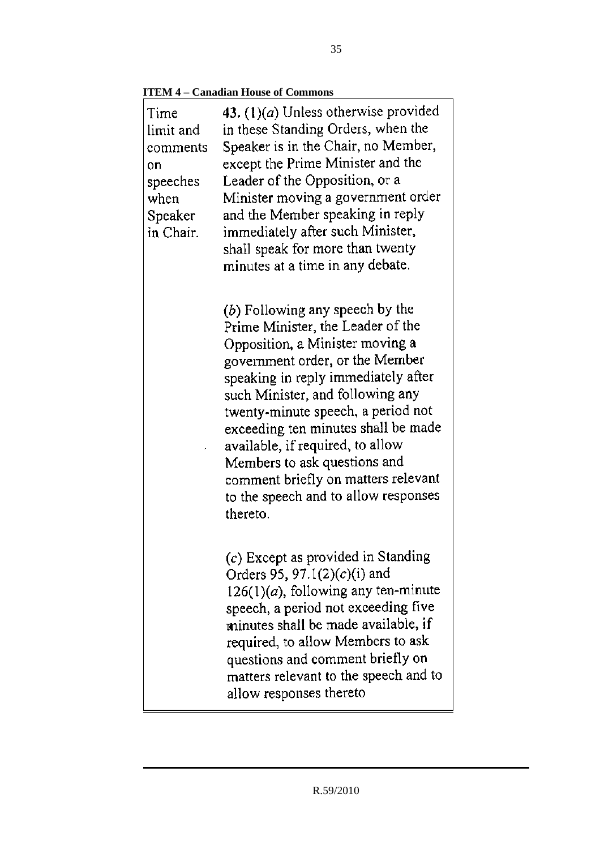**ITEM 4 – Canadian House of Commons** 

| Time<br>limit and<br>comments<br>on<br>speeches<br>when<br>Speaker<br>in Chair. | 43. $(1)(a)$ Unless otherwise provided<br>in these Standing Orders, when the<br>Speaker is in the Chair, no Member,<br>except the Prime Minister and the<br>Leader of the Opposition, or a<br>Minister moving a government order<br>and the Member speaking in reply<br>immediately after such Minister,<br>shall speak for more than twenty<br>minutes at a time in any debate.                                                                                    |
|---------------------------------------------------------------------------------|---------------------------------------------------------------------------------------------------------------------------------------------------------------------------------------------------------------------------------------------------------------------------------------------------------------------------------------------------------------------------------------------------------------------------------------------------------------------|
|                                                                                 | $(b)$ Following any speech by the<br>Prime Minister, the Leader of the<br>Opposition, a Minister moving a<br>government order, or the Member<br>speaking in reply immediately after<br>such Minister, and following any<br>twenty-minute speech, a period not<br>exceeding ten minutes shall be made<br>available, if required, to allow<br>Members to ask questions and<br>comment briefly on matters relevant<br>to the speech and to allow responses<br>thereto. |
|                                                                                 | (c) Except as provided in Standing<br>Orders 95, 97.1 $(2)(c)(i)$ and<br>$126(1)(a)$ , following any ten-minute<br>speech, a period not exceeding five<br>minutes shall be made available, if<br>required, to allow Members to ask<br>questions and comment briefly on<br>matters relevant to the speech and to<br>allow responses thereto                                                                                                                          |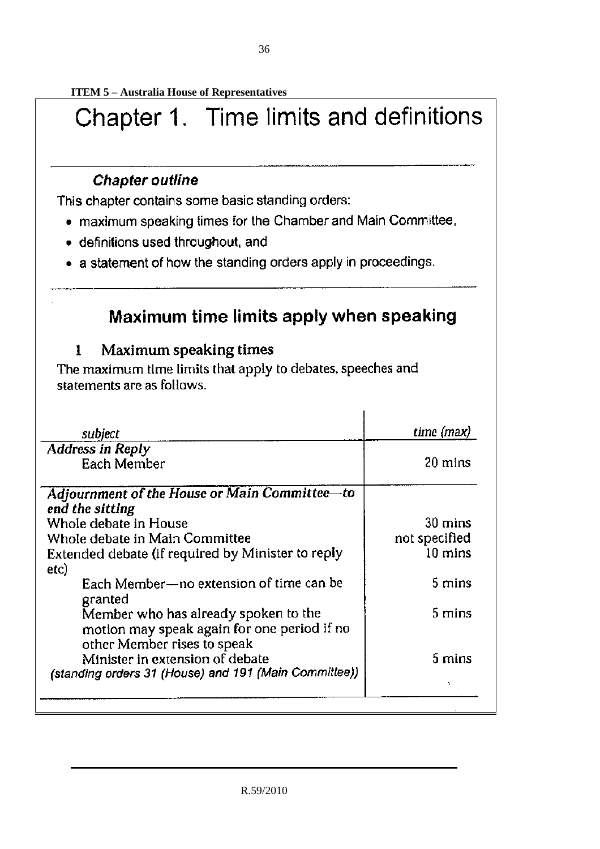**ITEM 5 – Australia House of Representatives** 

# Chapter 1. Time limits and definitions

# **Chapter outline**

This chapter contains some basic standing orders:

- maximum speaking times for the Chamber and Main Committee,
- · definitions used throughout, and
- a statement of how the standing orders apply in proceedings.

# Maximum time limits apply when speaking

#### Maximum speaking times  $\mathbf{1}$

The maximum time limits that apply to debates, speeches and statements are as follows.

| subject                                                                             | time (max)       |
|-------------------------------------------------------------------------------------|------------------|
| <b>Address in Reply</b>                                                             |                  |
| Each Member                                                                         | 20 mins          |
| Adjournment of the House or Main Committee-to<br>end the sitting                    |                  |
| Whole debate in House                                                               | 30 mins          |
| Whole debate in Main Committee                                                      | not specified    |
| Extended debate (if required by Minister to reply                                   | 10 mins          |
| etc)                                                                                |                  |
| Each Member-no extension of time can be<br>granted                                  | 5 mins           |
| Member who has already spoken to the<br>motion may speak again for one period if no | 5 mins           |
| other Member rises to speak                                                         |                  |
| Minister in extension of debate                                                     | $5 \text{ mins}$ |
| (standing orders 31 (House) and 191 (Main Committee))                               |                  |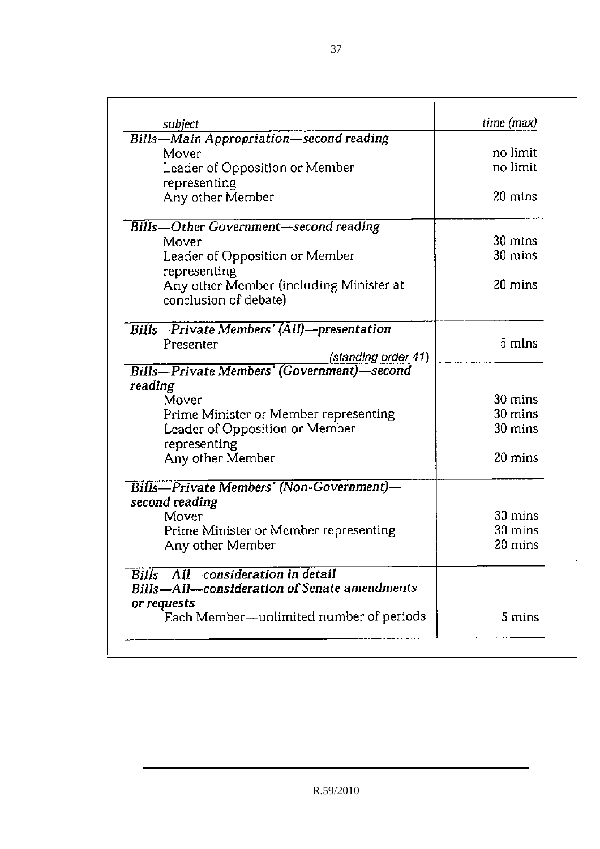| subject                                                          | $time$ (max) |
|------------------------------------------------------------------|--------------|
| <b>Bills—Main Appropriation—second reading</b>                   |              |
| Mover                                                            | no limit     |
| Leader of Opposition or Member                                   | no limit     |
| representing                                                     |              |
| Any other Member                                                 | 20 mins      |
| <b>Bills-Other Government-second reading</b>                     |              |
| Mover                                                            | 30 mins      |
| Leader of Opposition or Member<br>representing                   | 30 mins      |
| Any other Member (including Minister at<br>conclusion of debate) | 20 mins      |
| Bills-Private Members' (All)-presentation                        |              |
| Presenter<br>(standing order 41)                                 | 5 mins       |
| <b>Bills-Private Members' (Government)-second</b>                |              |
| reading                                                          |              |
| Mover                                                            | 30 mins      |
| Prime Minister or Member representing                            | 30 mins      |
| Leader of Opposition or Member                                   | 30 mins      |
| representing                                                     |              |
| Any other Member                                                 | 20 mins      |
| Bills—Private Members' (Non-Government)—                         |              |
| second reading                                                   |              |
| Mover                                                            | 30 mins      |
| Prime Minister or Member representing                            | 30 mins      |
| Any other Member                                                 | 20 mins      |
| Bills—All—consideration in detail                                |              |
| Bills—All—consideration of Senate amendments                     |              |
| or requests                                                      | 5 mins       |
| Each Member-unlimited number of periods                          |              |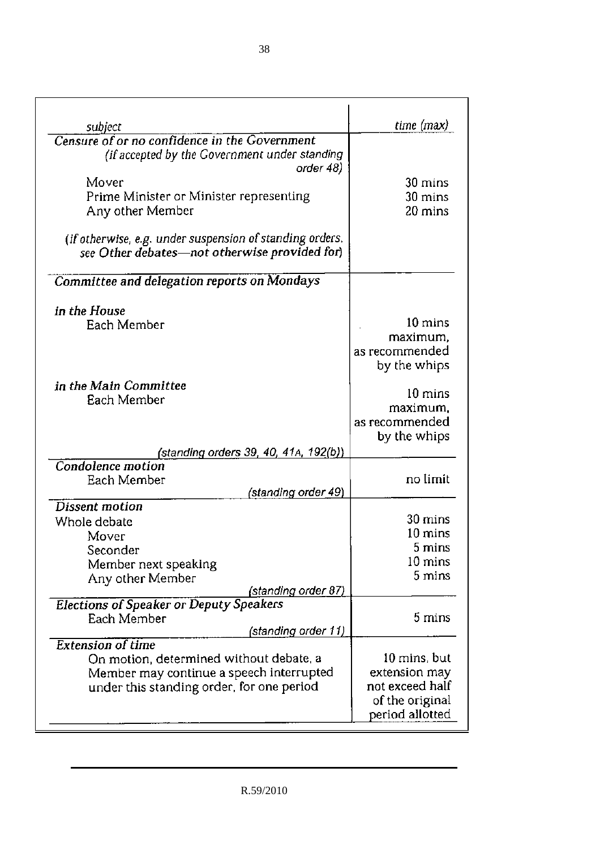| subject                                                  | time (max)        |
|----------------------------------------------------------|-------------------|
| Censure of or no confidence in the Government            |                   |
| (if accepted by the Government under standing            |                   |
| order 48)                                                |                   |
| Mover                                                    | 30 mins           |
| Prime Minister or Minister representing                  | 30 mins           |
| Any other Member                                         | 20 mins           |
|                                                          |                   |
| (if otherwise, e.g. under suspension of standing orders, |                   |
| see Other debates-not otherwise provided for)            |                   |
|                                                          |                   |
| Committee and delegation reports on Mondays              |                   |
|                                                          |                   |
| in the House                                             |                   |
| Each Member                                              | 10 mins           |
|                                                          | maximum,          |
|                                                          | as recommended    |
|                                                          | by the whips      |
| in the Main Committee                                    | $10 \text{ mins}$ |
| Each Member                                              | maximum.          |
|                                                          | as recommended    |
|                                                          | by the whips      |
| (standing orde <u>rs 39, 40, 41A, 192(b)</u> )           |                   |
| Condolence motion                                        |                   |
| Each Member                                              | no limit          |
| (standing order 49)                                      |                   |
| <b>Dissent motion</b>                                    |                   |
| Whole debate                                             | 30 mins           |
| Mover                                                    | $10 \text{ mins}$ |
| Seconder                                                 | 5 mins            |
| Member next speaking                                     | 10 mins           |
| Any other Member                                         | 5 mins            |
| (standing orde <u>r 87)</u>                              |                   |
| <b>Elections of Speaker or Deputy Speakers</b>           | 5 mins            |
| Each Member<br>(standing order 11)                       |                   |
| <b>Extension of time</b>                                 |                   |
| On motion, determined without debate, a                  | 10 mins, but      |
| Member may continue a speech interrupted                 | extension may     |
| under this standing order, for one period                | not exceed half   |
|                                                          | of the original   |
|                                                          | period allotted   |
|                                                          |                   |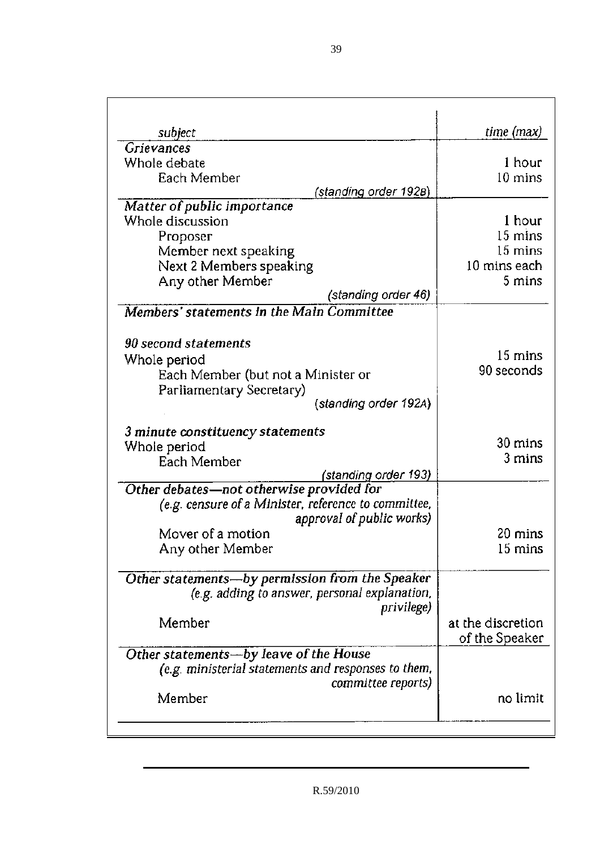| subject                                              | time (max)        |
|------------------------------------------------------|-------------------|
| <b>Grievances</b>                                    |                   |
| Whole debate                                         | 1 hour            |
| Each Member                                          | $10 \text{ mins}$ |
| (standing order 1928)                                |                   |
| Matter of public importance                          |                   |
| Whole discussion                                     | 1 hour<br>15 mins |
| Proposer                                             | 15 mins           |
| Member next speaking<br>Next 2 Members speaking      | 10 mins each      |
| Any other Member                                     | 5 mins            |
| (standing order 46)                                  |                   |
| Members' statements in the Main Committee            |                   |
|                                                      |                   |
| 90 second statements                                 |                   |
| Whole period                                         | 15 mins           |
| Each Member (but not a Minister or                   | 90 seconds        |
| Parliamentary Secretary)                             |                   |
| (standing order 192A)                                |                   |
| 3 minute constituency statements                     |                   |
| Whole period                                         | 30 mins           |
| Each Member                                          | 3 mins            |
| <u>(standing order 193)</u>                          |                   |
| Other debates-not otherwise provided for             |                   |
| (e.g. censure of a Minister, reference to committee, |                   |
| approval of public works)                            |                   |
| Mover of a motion                                    | 20 mins           |
| Any other Member                                     | 15 mins           |
| Other statements-by permission from the Speaker      |                   |
| (e.g. adding to answer, personal explanation,        |                   |
| privilege)                                           |                   |
| Member                                               | at the discretion |
|                                                      | of the Speaker    |
| Other statements-by leave of the House               |                   |
| (e.g. ministerial statements and responses to them,  |                   |
| committee reports)                                   |                   |
| Member                                               | no limit          |
|                                                      |                   |
|                                                      |                   |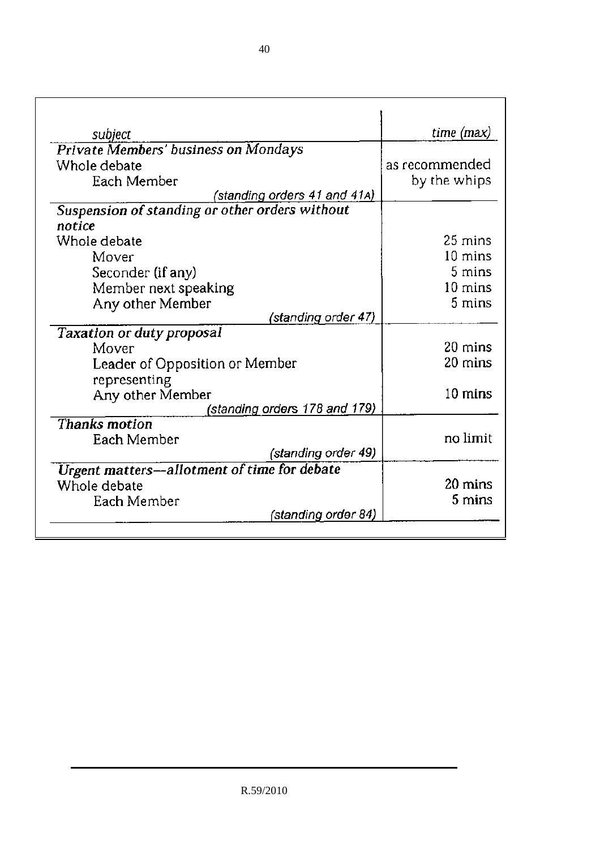| subject                                        | time (max)        |
|------------------------------------------------|-------------------|
| <b>Private Members' business on Mondays</b>    |                   |
| Whole debate                                   | as recommended    |
| Each Member                                    | by the whips      |
| (standing orders 41 and 41A)                   |                   |
| Suspension of standing or other orders without |                   |
| notice                                         |                   |
| Whole debate                                   | 25 mins           |
| Mover                                          | $10 \text{ mins}$ |
| Seconder (if any)                              | 5 mins            |
| Member next speaking                           | 10 mins           |
| Any other Member                               | 5 mins            |
| (standing <u>order 47</u> )                    |                   |
| <b>Taxation or duty proposal</b>               |                   |
| Mover                                          | 20 mins           |
| Leader of Opposition or Member                 | 20 mins           |
| representing                                   |                   |
| Any other Member                               | 10 mins           |
| (standing orders 178 and 179)                  |                   |
| Thanks motion                                  |                   |
| Each Member                                    | no limit          |
| (standing order 49)                            |                   |
| Urgent matters-allotment of time for debate    |                   |
| Whole debate                                   | 20 mins           |
| Each Member                                    | 5 mins            |
| (standing order 84)                            |                   |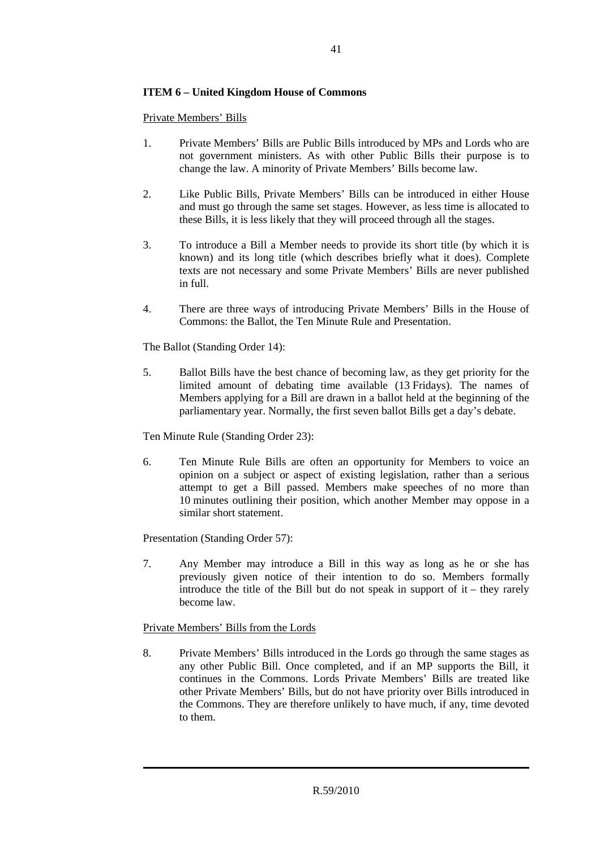# **ITEM 6 – United Kingdom House of Commons**

Private Members' Bills

- 1. Private Members' Bills are Public Bills introduced by MPs and Lords who are not government ministers. As with other Public Bills their purpose is to change the law. A minority of Private Members' Bills become law.
- 2. Like Public Bills, Private Members' Bills can be introduced in either House and must go through the same set stages. However, as less time is allocated to these Bills, it is less likely that they will proceed through all the stages.
- 3. To introduce a Bill a Member needs to provide its short title (by which it is known) and its long title (which describes briefly what it does). Complete texts are not necessary and some Private Members' Bills are never published in full.
- 4. There are three ways of introducing Private Members' Bills in the House of Commons: the Ballot, the Ten Minute Rule and Presentation.

The Ballot (Standing Order 14):

5. Ballot Bills have the best chance of becoming law, as they get priority for the limited amount of debating time available (13 Fridays). The names of Members applying for a Bill are drawn in a ballot held at the beginning of the parliamentary year. Normally, the first seven ballot Bills get a day's debate.

Ten Minute Rule (Standing Order 23):

6. Ten Minute Rule Bills are often an opportunity for Members to voice an opinion on a subject or aspect of existing legislation, rather than a serious attempt to get a Bill passed. Members make speeches of no more than 10 minutes outlining their position, which another Member may oppose in a similar short statement.

Presentation (Standing Order 57):

7. Any Member may introduce a Bill in this way as long as he or she has previously given notice of their intention to do so. Members formally introduce the title of the Bill but do not speak in support of it – they rarely become law.

# Private Members' Bills from the Lords

8. Private Members' Bills introduced in the Lords go through the same stages as any other Public Bill. Once completed, and if an MP supports the Bill, it continues in the Commons. Lords Private Members' Bills are treated like other Private Members' Bills, but do not have priority over Bills introduced in the Commons. They are therefore unlikely to have much, if any, time devoted to them.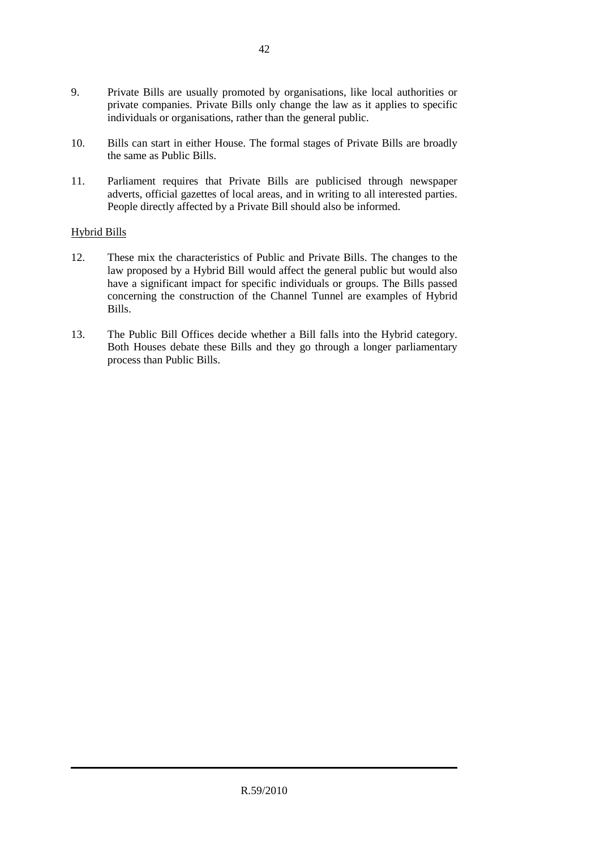- 9. Private Bills are usually promoted by organisations, like local authorities or private companies. Private Bills only change the law as it applies to specific individuals or organisations, rather than the general public.
- 10. Bills can start in either House. The formal stages of Private Bills are broadly the same as Public Bills.
- 11. Parliament requires that Private Bills are publicised through newspaper adverts, official gazettes of local areas, and in writing to all interested parties. People directly affected by a Private Bill should also be informed.

# Hybrid Bills

- 12. These mix the characteristics of Public and Private Bills. The changes to the law proposed by a Hybrid Bill would affect the general public but would also have a significant impact for specific individuals or groups. The Bills passed concerning the construction of the Channel Tunnel are examples of Hybrid Bills.
- 13. The Public Bill Offices decide whether a Bill falls into the Hybrid category. Both Houses debate these Bills and they go through a longer parliamentary process than Public Bills.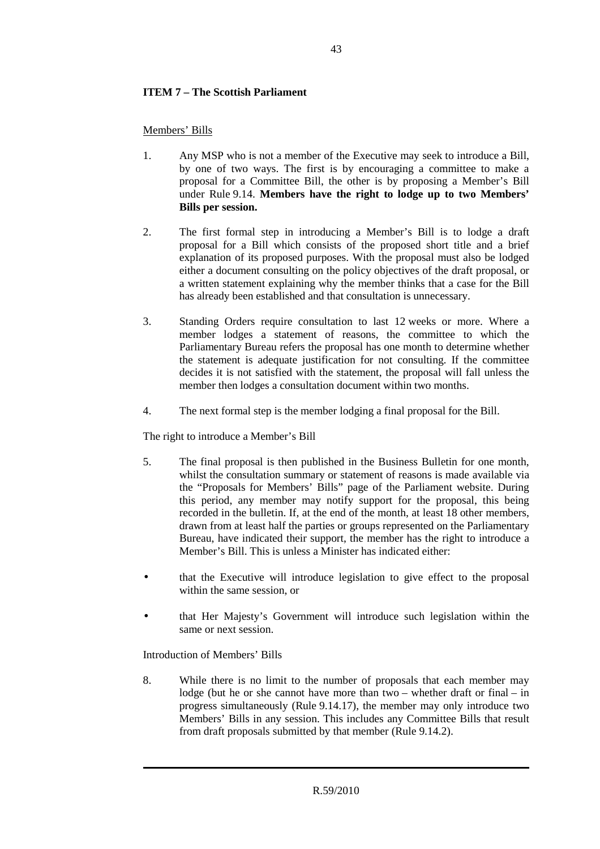# **ITEM 7 – The Scottish Parliament**

Members' Bills

- 1. Any MSP who is not a member of the Executive may seek to introduce a Bill, by one of two ways. The first is by encouraging a committee to make a proposal for a Committee Bill, the other is by proposing a Member's Bill under Rule 9.14. **Members have the right to lodge up to two Members' Bills per session.**
- 2. The first formal step in introducing a Member's Bill is to lodge a draft proposal for a Bill which consists of the proposed short title and a brief explanation of its proposed purposes. With the proposal must also be lodged either a document consulting on the policy objectives of the draft proposal, or a written statement explaining why the member thinks that a case for the Bill has already been established and that consultation is unnecessary.
- 3. Standing Orders require consultation to last 12 weeks or more. Where a member lodges a statement of reasons, the committee to which the Parliamentary Bureau refers the proposal has one month to determine whether the statement is adequate justification for not consulting. If the committee decides it is not satisfied with the statement, the proposal will fall unless the member then lodges a consultation document within two months.
- 4. The next formal step is the member lodging a final proposal for the Bill.

The right to introduce a Member's Bill

- 5. The final proposal is then published in the Business Bulletin for one month, whilst the consultation summary or statement of reasons is made available via the "Proposals for Members' Bills" page of the Parliament website. During this period, any member may notify support for the proposal, this being recorded in the bulletin. If, at the end of the month, at least 18 other members, drawn from at least half the parties or groups represented on the Parliamentary Bureau, have indicated their support, the member has the right to introduce a Member's Bill. This is unless a Minister has indicated either:
- that the Executive will introduce legislation to give effect to the proposal within the same session, or
- that Her Majesty's Government will introduce such legislation within the same or next session.

Introduction of Members' Bills

8. While there is no limit to the number of proposals that each member may lodge (but he or she cannot have more than two – whether draft or final – in progress simultaneously (Rule 9.14.17), the member may only introduce two Members' Bills in any session. This includes any Committee Bills that result from draft proposals submitted by that member (Rule 9.14.2).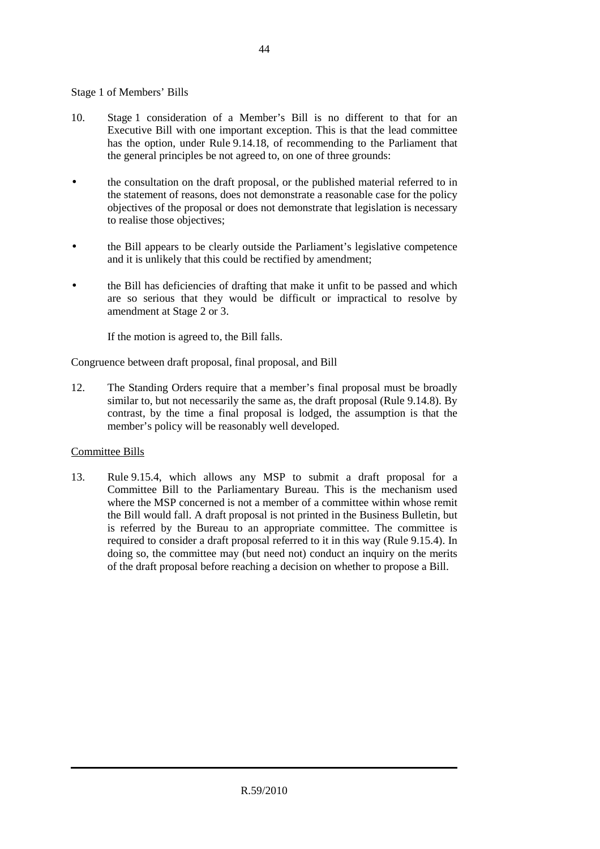# Stage 1 of Members' Bills

- 10. Stage 1 consideration of a Member's Bill is no different to that for an Executive Bill with one important exception. This is that the lead committee has the option, under Rule 9.14.18, of recommending to the Parliament that the general principles be not agreed to, on one of three grounds:
- the consultation on the draft proposal, or the published material referred to in the statement of reasons, does not demonstrate a reasonable case for the policy objectives of the proposal or does not demonstrate that legislation is necessary to realise those objectives;
- the Bill appears to be clearly outside the Parliament's legislative competence and it is unlikely that this could be rectified by amendment;
- the Bill has deficiencies of drafting that make it unfit to be passed and which are so serious that they would be difficult or impractical to resolve by amendment at Stage 2 or 3.

If the motion is agreed to, the Bill falls.

Congruence between draft proposal, final proposal, and Bill

12. The Standing Orders require that a member's final proposal must be broadly similar to, but not necessarily the same as, the draft proposal (Rule 9.14.8). By contrast, by the time a final proposal is lodged, the assumption is that the member's policy will be reasonably well developed.

# Committee Bills

13. Rule 9.15.4, which allows any MSP to submit a draft proposal for a Committee Bill to the Parliamentary Bureau. This is the mechanism used where the MSP concerned is not a member of a committee within whose remit the Bill would fall. A draft proposal is not printed in the Business Bulletin, but is referred by the Bureau to an appropriate committee. The committee is required to consider a draft proposal referred to it in this way (Rule 9.15.4). In doing so, the committee may (but need not) conduct an inquiry on the merits of the draft proposal before reaching a decision on whether to propose a Bill.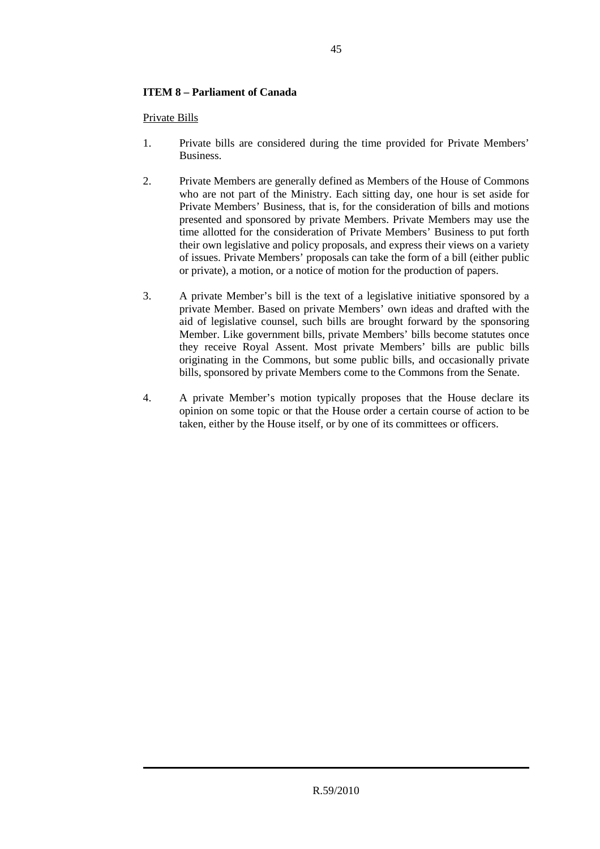# **ITEM 8 – Parliament of Canada**

Private Bills

- 1. Private bills are considered during the time provided for Private Members' Business.
- 2. Private Members are generally defined as Members of the House of Commons who are not part of the Ministry. Each sitting day, one hour is set aside for Private Members' Business, that is, for the consideration of bills and motions presented and sponsored by private Members. Private Members may use the time allotted for the consideration of Private Members' Business to put forth their own legislative and policy proposals, and express their views on a variety of issues. Private Members' proposals can take the form of a bill (either public or private), a motion, or a notice of motion for the production of papers.
- 3. A private Member's bill is the text of a legislative initiative sponsored by a private Member. Based on private Members' own ideas and drafted with the aid of legislative counsel, such bills are brought forward by the sponsoring Member. Like government bills, private Members' bills become statutes once they receive Royal Assent. Most private Members' bills are public bills originating in the Commons, but some public bills, and occasionally private bills, sponsored by private Members come to the Commons from the Senate.
- 4. A private Member's motion typically proposes that the House declare its opinion on some topic or that the House order a certain course of action to be taken, either by the House itself, or by one of its committees or officers.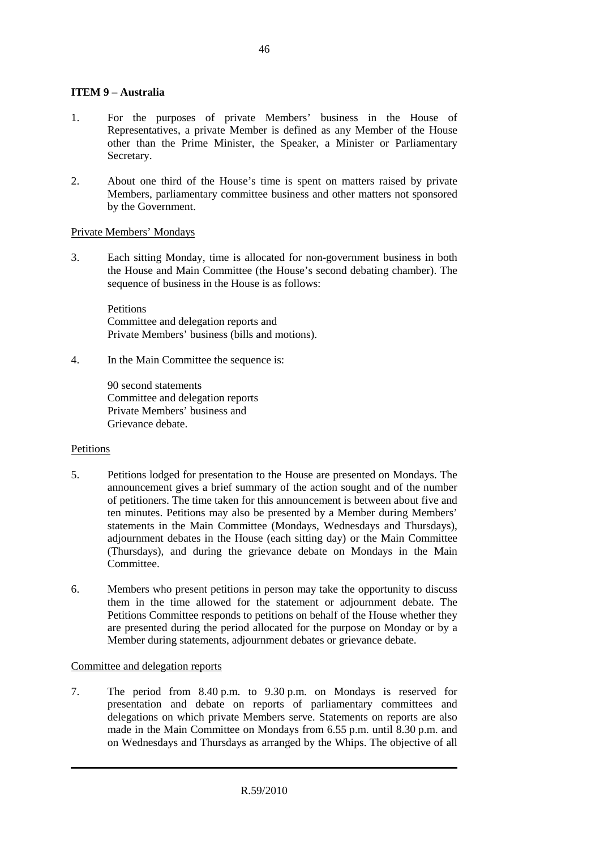# **ITEM 9 – Australia**

- 1. For the purposes of private Members' business in the House of Representatives, a private Member is defined as any Member of the House other than the Prime Minister, the Speaker, a Minister or Parliamentary Secretary.
- 2. About one third of the House's time is spent on matters raised by private Members, parliamentary committee business and other matters not sponsored by the Government.

# Private Members' Mondays

3. Each sitting Monday, time is allocated for non-government business in both the House and Main Committee (the House's second debating chamber). The sequence of business in the House is as follows:

Petitions Committee and delegation reports and Private Members' business (bills and motions).

4. In the Main Committee the sequence is:

90 second statements Committee and delegation reports Private Members' business and Grievance debate.

# Petitions

- 5. Petitions lodged for presentation to the House are presented on Mondays. The announcement gives a brief summary of the action sought and of the number of petitioners. The time taken for this announcement is between about five and ten minutes. Petitions may also be presented by a Member during Members' statements in the Main Committee (Mondays, Wednesdays and Thursdays), adjournment debates in the House (each sitting day) or the Main Committee (Thursdays), and during the grievance debate on Mondays in the Main **Committee**
- 6. Members who present petitions in person may take the opportunity to discuss them in the time allowed for the statement or adjournment debate. The Petitions Committee responds to petitions on behalf of the House whether they are presented during the period allocated for the purpose on Monday or by a Member during statements, adjournment debates or grievance debate.

# Committee and delegation reports

7. The period from 8.40 p.m. to 9.30 p.m. on Mondays is reserved for presentation and debate on reports of parliamentary committees and delegations on which private Members serve. Statements on reports are also made in the Main Committee on Mondays from 6.55 p.m. until 8.30 p.m. and on Wednesdays and Thursdays as arranged by the Whips. The objective of all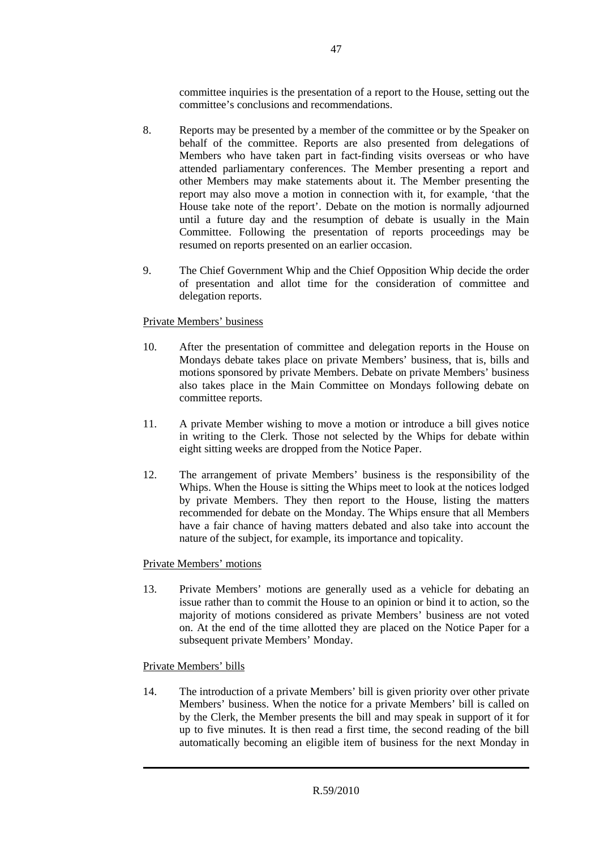committee inquiries is the presentation of a report to the House, setting out the committee's conclusions and recommendations.

- 8. Reports may be presented by a member of the committee or by the Speaker on behalf of the committee. Reports are also presented from delegations of Members who have taken part in fact-finding visits overseas or who have attended parliamentary conferences. The Member presenting a report and other Members may make statements about it. The Member presenting the report may also move a motion in connection with it, for example, 'that the House take note of the report'. Debate on the motion is normally adjourned until a future day and the resumption of debate is usually in the Main Committee. Following the presentation of reports proceedings may be resumed on reports presented on an earlier occasion.
- 9. The Chief Government Whip and the Chief Opposition Whip decide the order of presentation and allot time for the consideration of committee and delegation reports.

# Private Members' business

- 10. After the presentation of committee and delegation reports in the House on Mondays debate takes place on private Members' business, that is, bills and motions sponsored by private Members. Debate on private Members' business also takes place in the Main Committee on Mondays following debate on committee reports.
- 11. A private Member wishing to move a motion or introduce a bill gives notice in writing to the Clerk. Those not selected by the Whips for debate within eight sitting weeks are dropped from the Notice Paper.
- 12. The arrangement of private Members' business is the responsibility of the Whips. When the House is sitting the Whips meet to look at the notices lodged by private Members. They then report to the House, listing the matters recommended for debate on the Monday. The Whips ensure that all Members have a fair chance of having matters debated and also take into account the nature of the subject, for example, its importance and topicality.

# Private Members' motions

13. Private Members' motions are generally used as a vehicle for debating an issue rather than to commit the House to an opinion or bind it to action, so the majority of motions considered as private Members' business are not voted on. At the end of the time allotted they are placed on the Notice Paper for a subsequent private Members' Monday.

# Private Members' bills

14. The introduction of a private Members' bill is given priority over other private Members' business. When the notice for a private Members' bill is called on by the Clerk, the Member presents the bill and may speak in support of it for up to five minutes. It is then read a first time, the second reading of the bill automatically becoming an eligible item of business for the next Monday in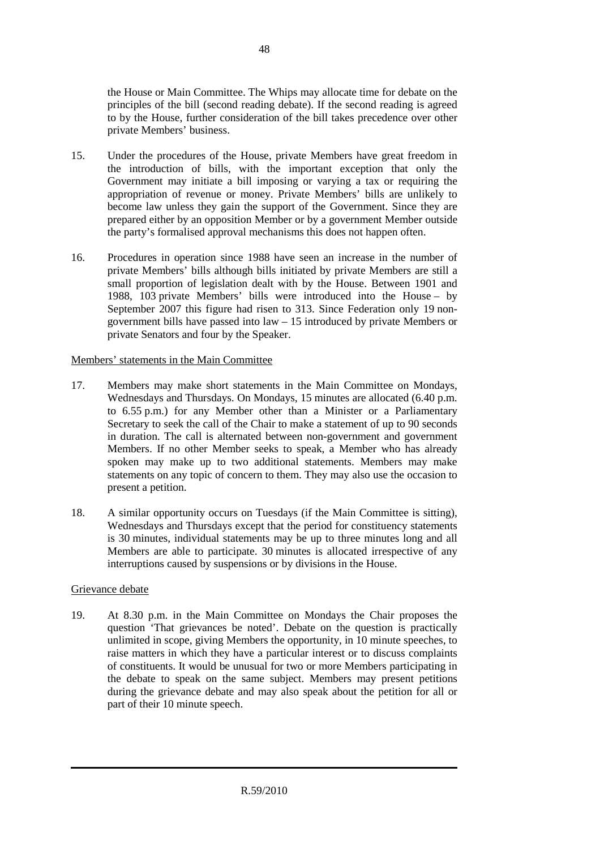the House or Main Committee. The Whips may allocate time for debate on the principles of the bill (second reading debate). If the second reading is agreed to by the House, further consideration of the bill takes precedence over other private Members' business.

- 15. Under the procedures of the House, private Members have great freedom in the introduction of bills, with the important exception that only the Government may initiate a bill imposing or varying a tax or requiring the appropriation of revenue or money. Private Members' bills are unlikely to become law unless they gain the support of the Government. Since they are prepared either by an opposition Member or by a government Member outside the party's formalised approval mechanisms this does not happen often.
- 16. Procedures in operation since 1988 have seen an increase in the number of private Members' bills although bills initiated by private Members are still a small proportion of legislation dealt with by the House. Between 1901 and 1988, 103 private Members' bills were introduced into the House – by September 2007 this figure had risen to 313. Since Federation only 19 nongovernment bills have passed into law – 15 introduced by private Members or private Senators and four by the Speaker.

# Members' statements in the Main Committee

- 17. Members may make short statements in the Main Committee on Mondays, Wednesdays and Thursdays. On Mondays, 15 minutes are allocated (6.40 p.m. to 6.55 p.m.) for any Member other than a Minister or a Parliamentary Secretary to seek the call of the Chair to make a statement of up to 90 seconds in duration. The call is alternated between non-government and government Members. If no other Member seeks to speak, a Member who has already spoken may make up to two additional statements. Members may make statements on any topic of concern to them. They may also use the occasion to present a petition.
- 18. A similar opportunity occurs on Tuesdays (if the Main Committee is sitting), Wednesdays and Thursdays except that the period for constituency statements is 30 minutes, individual statements may be up to three minutes long and all Members are able to participate. 30 minutes is allocated irrespective of any interruptions caused by suspensions or by divisions in the House.

# Grievance debate

19. At 8.30 p.m. in the Main Committee on Mondays the Chair proposes the question 'That grievances be noted'. Debate on the question is practically unlimited in scope, giving Members the opportunity, in 10 minute speeches, to raise matters in which they have a particular interest or to discuss complaints of constituents. It would be unusual for two or more Members participating in the debate to speak on the same subject. Members may present petitions during the grievance debate and may also speak about the petition for all or part of their 10 minute speech.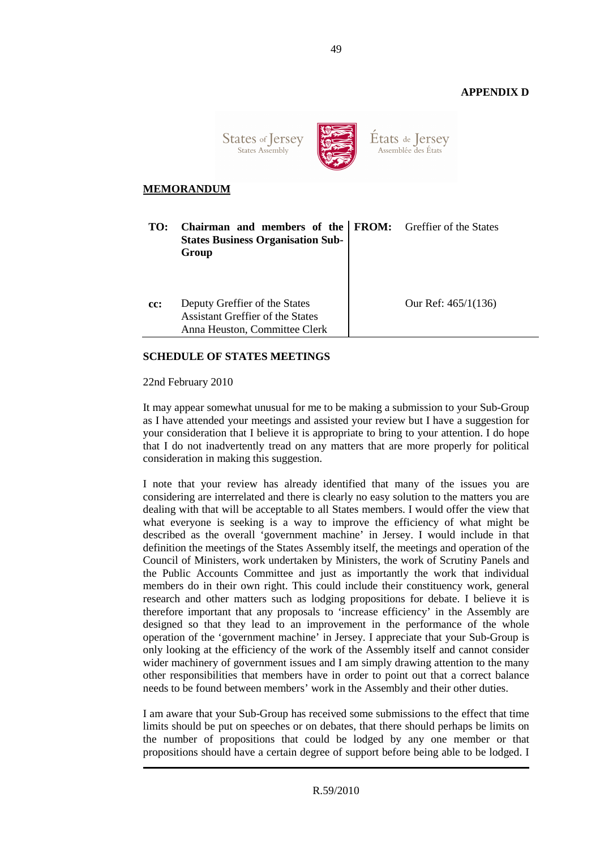# **APPENDIX D**



Etats de Jersey Assemblée des États

# **MEMORANDUM**

| TO: | Chairman and members of the FROM: Greffier of the States<br><b>States Business Organisation Sub-</b><br>Group |                       |
|-----|---------------------------------------------------------------------------------------------------------------|-----------------------|
| cc: | Deputy Greffier of the States<br>Assistant Greffier of the States<br>Anna Heuston, Committee Clerk            | Our Ref: $465/1(136)$ |

# **SCHEDULE OF STATES MEETINGS**

22nd February 2010

It may appear somewhat unusual for me to be making a submission to your Sub-Group as I have attended your meetings and assisted your review but I have a suggestion for your consideration that I believe it is appropriate to bring to your attention. I do hope that I do not inadvertently tread on any matters that are more properly for political consideration in making this suggestion.

I note that your review has already identified that many of the issues you are considering are interrelated and there is clearly no easy solution to the matters you are dealing with that will be acceptable to all States members. I would offer the view that what everyone is seeking is a way to improve the efficiency of what might be described as the overall 'government machine' in Jersey. I would include in that definition the meetings of the States Assembly itself, the meetings and operation of the Council of Ministers, work undertaken by Ministers, the work of Scrutiny Panels and the Public Accounts Committee and just as importantly the work that individual members do in their own right. This could include their constituency work, general research and other matters such as lodging propositions for debate. I believe it is therefore important that any proposals to 'increase efficiency' in the Assembly are designed so that they lead to an improvement in the performance of the whole operation of the 'government machine' in Jersey. I appreciate that your Sub-Group is only looking at the efficiency of the work of the Assembly itself and cannot consider wider machinery of government issues and I am simply drawing attention to the many other responsibilities that members have in order to point out that a correct balance needs to be found between members' work in the Assembly and their other duties.

I am aware that your Sub-Group has received some submissions to the effect that time limits should be put on speeches or on debates, that there should perhaps be limits on the number of propositions that could be lodged by any one member or that propositions should have a certain degree of support before being able to be lodged. I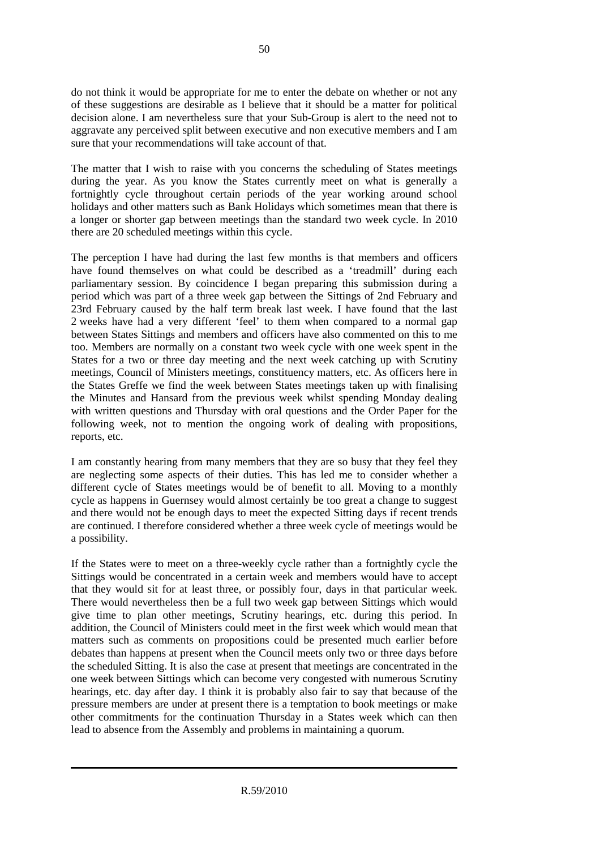do not think it would be appropriate for me to enter the debate on whether or not any of these suggestions are desirable as I believe that it should be a matter for political decision alone. I am nevertheless sure that your Sub-Group is alert to the need not to aggravate any perceived split between executive and non executive members and I am sure that your recommendations will take account of that.

The matter that I wish to raise with you concerns the scheduling of States meetings during the year. As you know the States currently meet on what is generally a fortnightly cycle throughout certain periods of the year working around school holidays and other matters such as Bank Holidays which sometimes mean that there is a longer or shorter gap between meetings than the standard two week cycle. In 2010 there are 20 scheduled meetings within this cycle.

The perception I have had during the last few months is that members and officers have found themselves on what could be described as a 'treadmill' during each parliamentary session. By coincidence I began preparing this submission during a period which was part of a three week gap between the Sittings of 2nd February and 23rd February caused by the half term break last week. I have found that the last 2 weeks have had a very different 'feel' to them when compared to a normal gap between States Sittings and members and officers have also commented on this to me too. Members are normally on a constant two week cycle with one week spent in the States for a two or three day meeting and the next week catching up with Scrutiny meetings, Council of Ministers meetings, constituency matters, etc. As officers here in the States Greffe we find the week between States meetings taken up with finalising the Minutes and Hansard from the previous week whilst spending Monday dealing with written questions and Thursday with oral questions and the Order Paper for the following week, not to mention the ongoing work of dealing with propositions, reports, etc.

I am constantly hearing from many members that they are so busy that they feel they are neglecting some aspects of their duties. This has led me to consider whether a different cycle of States meetings would be of benefit to all. Moving to a monthly cycle as happens in Guernsey would almost certainly be too great a change to suggest and there would not be enough days to meet the expected Sitting days if recent trends are continued. I therefore considered whether a three week cycle of meetings would be a possibility.

If the States were to meet on a three-weekly cycle rather than a fortnightly cycle the Sittings would be concentrated in a certain week and members would have to accept that they would sit for at least three, or possibly four, days in that particular week. There would nevertheless then be a full two week gap between Sittings which would give time to plan other meetings, Scrutiny hearings, etc. during this period. In addition, the Council of Ministers could meet in the first week which would mean that matters such as comments on propositions could be presented much earlier before debates than happens at present when the Council meets only two or three days before the scheduled Sitting. It is also the case at present that meetings are concentrated in the one week between Sittings which can become very congested with numerous Scrutiny hearings, etc. day after day. I think it is probably also fair to say that because of the pressure members are under at present there is a temptation to book meetings or make other commitments for the continuation Thursday in a States week which can then lead to absence from the Assembly and problems in maintaining a quorum.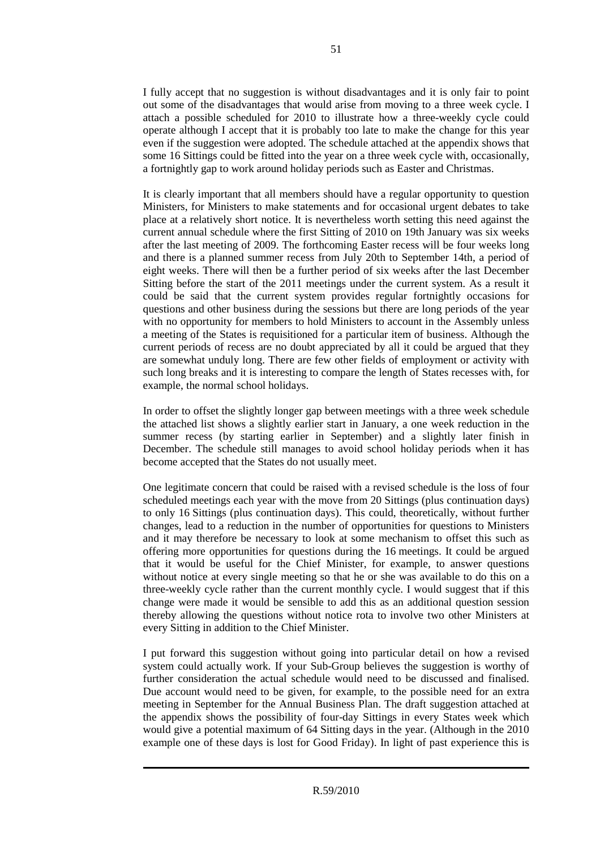I fully accept that no suggestion is without disadvantages and it is only fair to point out some of the disadvantages that would arise from moving to a three week cycle. I attach a possible scheduled for 2010 to illustrate how a three-weekly cycle could operate although I accept that it is probably too late to make the change for this year even if the suggestion were adopted. The schedule attached at the appendix shows that some 16 Sittings could be fitted into the year on a three week cycle with, occasionally, a fortnightly gap to work around holiday periods such as Easter and Christmas.

It is clearly important that all members should have a regular opportunity to question Ministers, for Ministers to make statements and for occasional urgent debates to take place at a relatively short notice. It is nevertheless worth setting this need against the current annual schedule where the first Sitting of 2010 on 19th January was six weeks after the last meeting of 2009. The forthcoming Easter recess will be four weeks long and there is a planned summer recess from July 20th to September 14th, a period of eight weeks. There will then be a further period of six weeks after the last December Sitting before the start of the 2011 meetings under the current system. As a result it could be said that the current system provides regular fortnightly occasions for questions and other business during the sessions but there are long periods of the year with no opportunity for members to hold Ministers to account in the Assembly unless a meeting of the States is requisitioned for a particular item of business. Although the current periods of recess are no doubt appreciated by all it could be argued that they are somewhat unduly long. There are few other fields of employment or activity with such long breaks and it is interesting to compare the length of States recesses with, for example, the normal school holidays.

In order to offset the slightly longer gap between meetings with a three week schedule the attached list shows a slightly earlier start in January, a one week reduction in the summer recess (by starting earlier in September) and a slightly later finish in December. The schedule still manages to avoid school holiday periods when it has become accepted that the States do not usually meet.

One legitimate concern that could be raised with a revised schedule is the loss of four scheduled meetings each year with the move from 20 Sittings (plus continuation days) to only 16 Sittings (plus continuation days). This could, theoretically, without further changes, lead to a reduction in the number of opportunities for questions to Ministers and it may therefore be necessary to look at some mechanism to offset this such as offering more opportunities for questions during the 16 meetings. It could be argued that it would be useful for the Chief Minister, for example, to answer questions without notice at every single meeting so that he or she was available to do this on a three-weekly cycle rather than the current monthly cycle. I would suggest that if this change were made it would be sensible to add this as an additional question session thereby allowing the questions without notice rota to involve two other Ministers at every Sitting in addition to the Chief Minister.

I put forward this suggestion without going into particular detail on how a revised system could actually work. If your Sub-Group believes the suggestion is worthy of further consideration the actual schedule would need to be discussed and finalised. Due account would need to be given, for example, to the possible need for an extra meeting in September for the Annual Business Plan. The draft suggestion attached at the appendix shows the possibility of four-day Sittings in every States week which would give a potential maximum of 64 Sitting days in the year. (Although in the 2010 example one of these days is lost for Good Friday). In light of past experience this is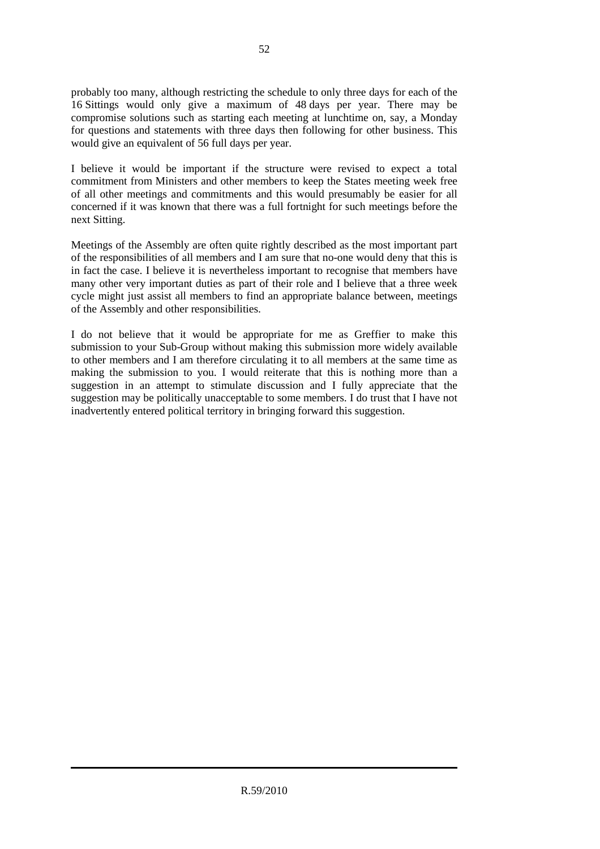probably too many, although restricting the schedule to only three days for each of the 16 Sittings would only give a maximum of 48 days per year. There may be compromise solutions such as starting each meeting at lunchtime on, say, a Monday for questions and statements with three days then following for other business. This would give an equivalent of 56 full days per year.

I believe it would be important if the structure were revised to expect a total commitment from Ministers and other members to keep the States meeting week free of all other meetings and commitments and this would presumably be easier for all concerned if it was known that there was a full fortnight for such meetings before the next Sitting.

Meetings of the Assembly are often quite rightly described as the most important part of the responsibilities of all members and I am sure that no-one would deny that this is in fact the case. I believe it is nevertheless important to recognise that members have many other very important duties as part of their role and I believe that a three week cycle might just assist all members to find an appropriate balance between, meetings of the Assembly and other responsibilities.

I do not believe that it would be appropriate for me as Greffier to make this submission to your Sub-Group without making this submission more widely available to other members and I am therefore circulating it to all members at the same time as making the submission to you. I would reiterate that this is nothing more than a suggestion in an attempt to stimulate discussion and I fully appreciate that the suggestion may be politically unacceptable to some members. I do trust that I have not inadvertently entered political territory in bringing forward this suggestion.